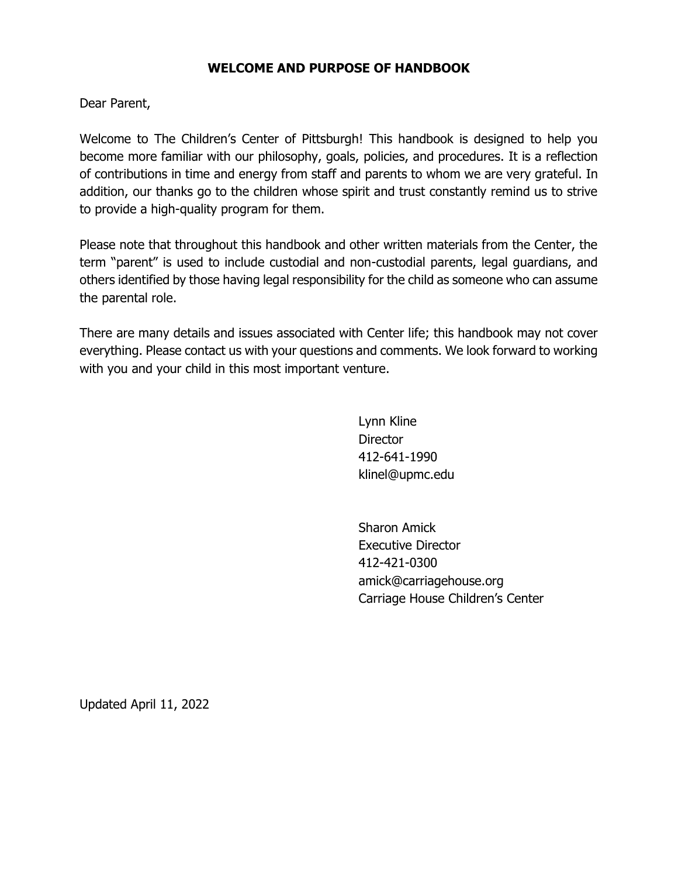## **WELCOME AND PURPOSE OF HANDBOOK**

Dear Parent,

Welcome to The Children's Center of Pittsburgh! This handbook is designed to help you become more familiar with our philosophy, goals, policies, and procedures. It is a reflection of contributions in time and energy from staff and parents to whom we are very grateful. In addition, our thanks go to the children whose spirit and trust constantly remind us to strive to provide a high-quality program for them.

Please note that throughout this handbook and other written materials from the Center, the term "parent" is used to include custodial and non-custodial parents, legal guardians, and others identified by those having legal responsibility for the child as someone who can assume the parental role.

There are many details and issues associated with Center life; this handbook may not cover everything. Please contact us with your questions and comments. We look forward to working with you and your child in this most important venture.

> Lynn Kline **Director** 412-641-1990 [klinel@upmc.edu](mailto:klinel@upmc.edu)

Sharon Amick Executive Director 412-421-0300 [amick@carriagehouse.org](mailto:amick@carriagehouse.org) Carriage House Children's Center

Updated April 11, 2022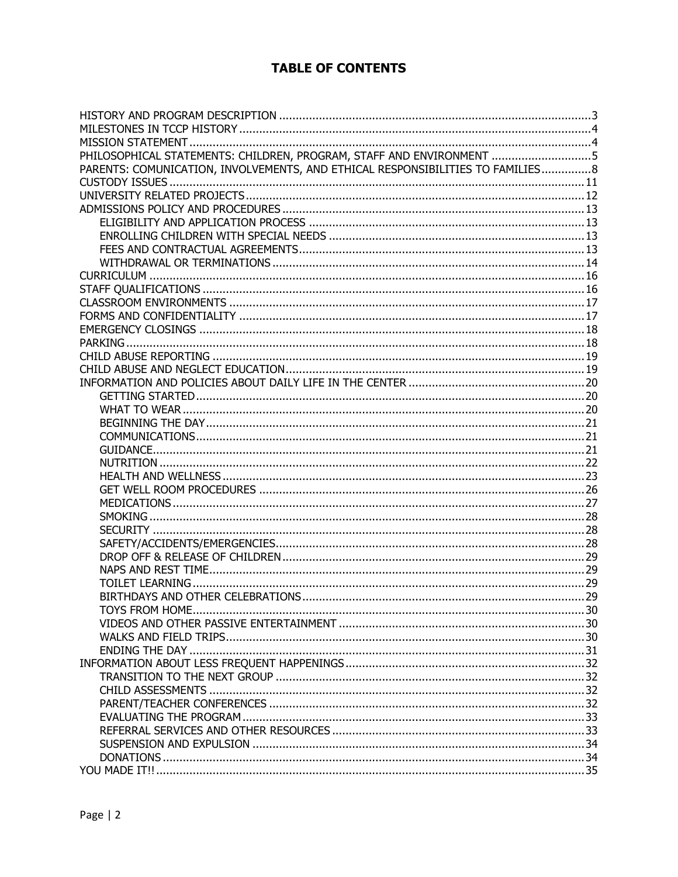# **TABLE OF CONTENTS**

| PHILOSOPHICAL STATEMENTS: CHILDREN, PROGRAM, STAFF AND ENVIRONMENT 5           |  |
|--------------------------------------------------------------------------------|--|
| PARENTS: COMUNICATION, INVOLVEMENTS, AND ETHICAL RESPONSIBILITIES TO FAMILIES8 |  |
|                                                                                |  |
|                                                                                |  |
|                                                                                |  |
|                                                                                |  |
|                                                                                |  |
|                                                                                |  |
|                                                                                |  |
|                                                                                |  |
|                                                                                |  |
|                                                                                |  |
|                                                                                |  |
|                                                                                |  |
|                                                                                |  |
|                                                                                |  |
|                                                                                |  |
|                                                                                |  |
|                                                                                |  |
|                                                                                |  |
|                                                                                |  |
|                                                                                |  |
|                                                                                |  |
|                                                                                |  |
|                                                                                |  |
|                                                                                |  |
|                                                                                |  |
|                                                                                |  |
|                                                                                |  |
|                                                                                |  |
|                                                                                |  |
|                                                                                |  |
|                                                                                |  |
|                                                                                |  |
|                                                                                |  |
|                                                                                |  |
|                                                                                |  |
|                                                                                |  |
|                                                                                |  |
|                                                                                |  |
|                                                                                |  |
|                                                                                |  |
|                                                                                |  |
|                                                                                |  |
|                                                                                |  |
|                                                                                |  |
|                                                                                |  |
|                                                                                |  |
|                                                                                |  |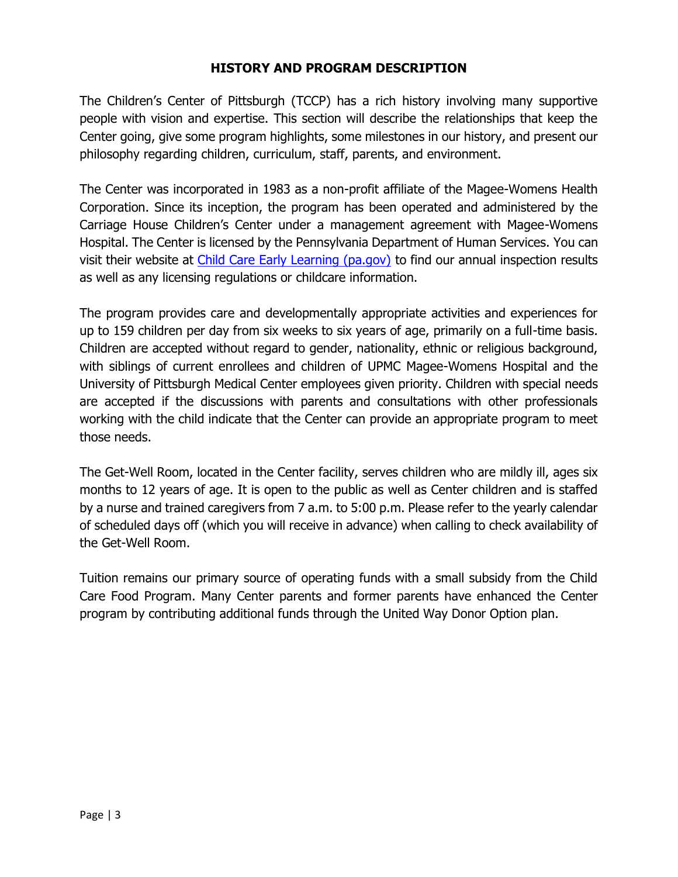## **HISTORY AND PROGRAM DESCRIPTION**

The Children's Center of Pittsburgh (TCCP) has a rich history involving many supportive people with vision and expertise. This section will describe the relationships that keep the Center going, give some program highlights, some milestones in our history, and present our philosophy regarding children, curriculum, staff, parents, and environment.

The Center was incorporated in 1983 as a non-profit affiliate of the Magee-Womens Health Corporation. Since its inception, the program has been operated and administered by the Carriage House Children's Center under a management agreement with Magee-Womens Hospital. The Center is licensed by the Pennsylvania Department of Human Services. You can visit their website at [Child Care Early Learning \(pa.gov\)](https://www.dhs.pa.gov/Services/Children/Pages/Child-Care-Early-Learning.aspx) to find our annual inspection results as well as any licensing regulations or childcare information.

The program provides care and developmentally appropriate activities and experiences for up to 159 children per day from six weeks to six years of age, primarily on a full-time basis. Children are accepted without regard to gender, nationality, ethnic or religious background, with siblings of current enrollees and children of UPMC Magee-Womens Hospital and the University of Pittsburgh Medical Center employees given priority. Children with special needs are accepted if the discussions with parents and consultations with other professionals working with the child indicate that the Center can provide an appropriate program to meet those needs.

The Get-Well Room, located in the Center facility, serves children who are mildly ill, ages six months to 12 years of age. It is open to the public as well as Center children and is staffed by a nurse and trained caregivers from 7 a.m. to 5:00 p.m. Please refer to the yearly calendar of scheduled days off (which you will receive in advance) when calling to check availability of the Get-Well Room.

Tuition remains our primary source of operating funds with a small subsidy from the Child Care Food Program. Many Center parents and former parents have enhanced the Center program by contributing additional funds through the United Way Donor Option plan.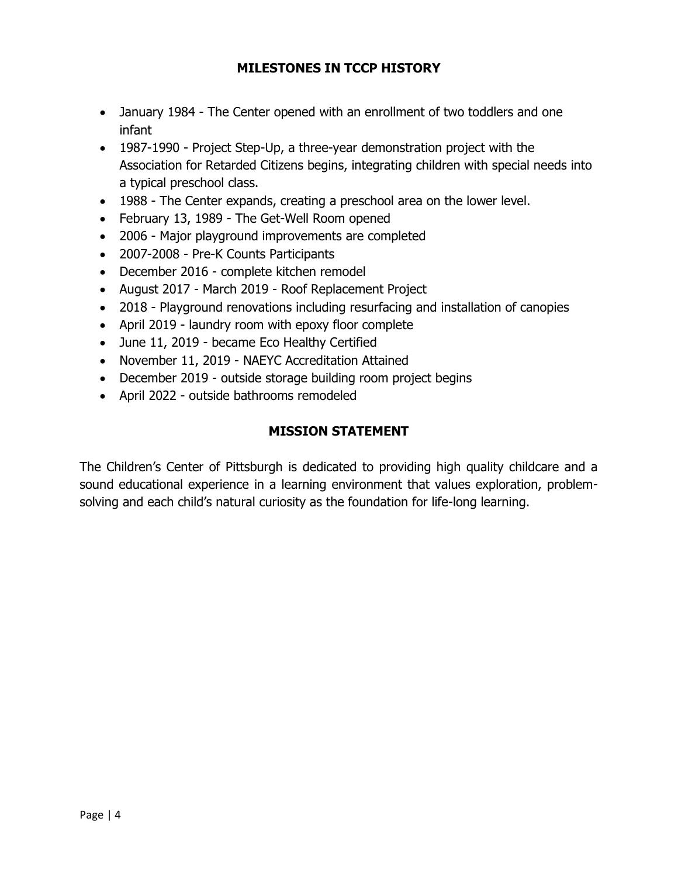# **MILESTONES IN TCCP HISTORY**

- January 1984 The Center opened with an enrollment of two toddlers and one infant
- 1987-1990 Project Step-Up, a three-year demonstration project with the Association for Retarded Citizens begins, integrating children with special needs into a typical preschool class.
- 1988 The Center expands, creating a preschool area on the lower level.
- February 13, 1989 The Get-Well Room opened
- 2006 Major playground improvements are completed
- 2007-2008 Pre-K Counts Participants
- December 2016 complete kitchen remodel
- August 2017 March 2019 Roof Replacement Project
- 2018 Playground renovations including resurfacing and installation of canopies
- April 2019 laundry room with epoxy floor complete
- June 11, 2019 became Eco Healthy Certified
- November 11, 2019 NAEYC Accreditation Attained
- December 2019 outside storage building room project begins
- April 2022 outside bathrooms remodeled

### **MISSION STATEMENT**

The Children's Center of Pittsburgh is dedicated to providing high quality childcare and a sound educational experience in a learning environment that values exploration, problemsolving and each child's natural curiosity as the foundation for life-long learning.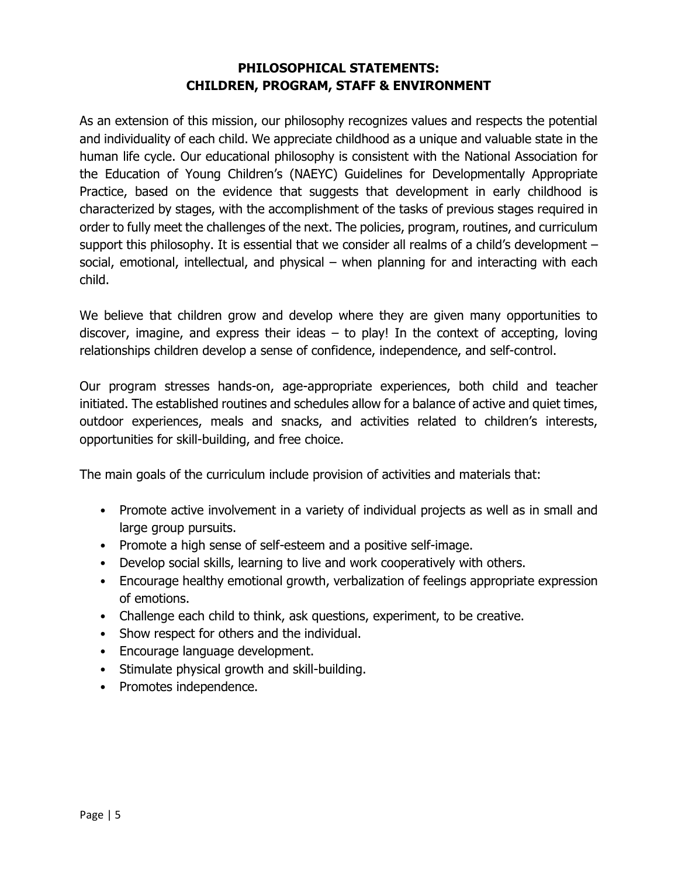# **PHILOSOPHICAL STATEMENTS: CHILDREN, PROGRAM, STAFF & ENVIRONMENT**

As an extension of this mission, our philosophy recognizes values and respects the potential and individuality of each child. We appreciate childhood as a unique and valuable state in the human life cycle. Our educational philosophy is consistent with the National Association for the Education of Young Children's (NAEYC) Guidelines for Developmentally Appropriate Practice, based on the evidence that suggests that development in early childhood is characterized by stages, with the accomplishment of the tasks of previous stages required in order to fully meet the challenges of the next. The policies, program, routines, and curriculum support this philosophy. It is essential that we consider all realms of a child's development social, emotional, intellectual, and physical – when planning for and interacting with each child.

We believe that children grow and develop where they are given many opportunities to discover, imagine, and express their ideas – to play! In the context of accepting, loving relationships children develop a sense of confidence, independence, and self-control.

Our program stresses hands-on, age-appropriate experiences, both child and teacher initiated. The established routines and schedules allow for a balance of active and quiet times, outdoor experiences, meals and snacks, and activities related to children's interests, opportunities for skill-building, and free choice.

The main goals of the curriculum include provision of activities and materials that:

- Promote active involvement in a variety of individual projects as well as in small and large group pursuits.
- Promote a high sense of self-esteem and a positive self-image.
- Develop social skills, learning to live and work cooperatively with others.
- Encourage healthy emotional growth, verbalization of feelings appropriate expression of emotions.
- Challenge each child to think, ask questions, experiment, to be creative.
- Show respect for others and the individual.
- Encourage language development.
- Stimulate physical growth and skill-building.
- Promotes independence.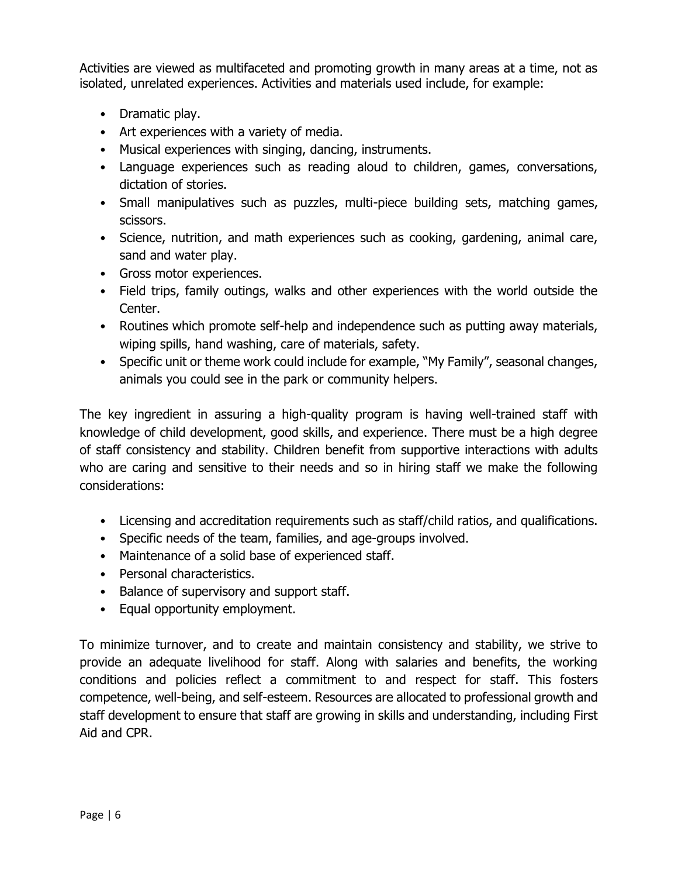Activities are viewed as multifaceted and promoting growth in many areas at a time, not as isolated, unrelated experiences. Activities and materials used include, for example:

- Dramatic play.
- Art experiences with a variety of media.
- Musical experiences with singing, dancing, instruments.
- Language experiences such as reading aloud to children, games, conversations, dictation of stories.
- Small manipulatives such as puzzles, multi-piece building sets, matching games, scissors.
- Science, nutrition, and math experiences such as cooking, gardening, animal care, sand and water play.
- Gross motor experiences.
- Field trips, family outings, walks and other experiences with the world outside the Center.
- Routines which promote self-help and independence such as putting away materials, wiping spills, hand washing, care of materials, safety.
- Specific unit or theme work could include for example, "My Family", seasonal changes, animals you could see in the park or community helpers.

The key ingredient in assuring a high-quality program is having well-trained staff with knowledge of child development, good skills, and experience. There must be a high degree of staff consistency and stability. Children benefit from supportive interactions with adults who are caring and sensitive to their needs and so in hiring staff we make the following considerations:

- Licensing and accreditation requirements such as staff/child ratios, and qualifications.
- Specific needs of the team, families, and age-groups involved.
- Maintenance of a solid base of experienced staff.
- Personal characteristics.
- Balance of supervisory and support staff.
- Equal opportunity employment.

To minimize turnover, and to create and maintain consistency and stability, we strive to provide an adequate livelihood for staff. Along with salaries and benefits, the working conditions and policies reflect a commitment to and respect for staff. This fosters competence, well-being, and self-esteem. Resources are allocated to professional growth and staff development to ensure that staff are growing in skills and understanding, including First Aid and CPR.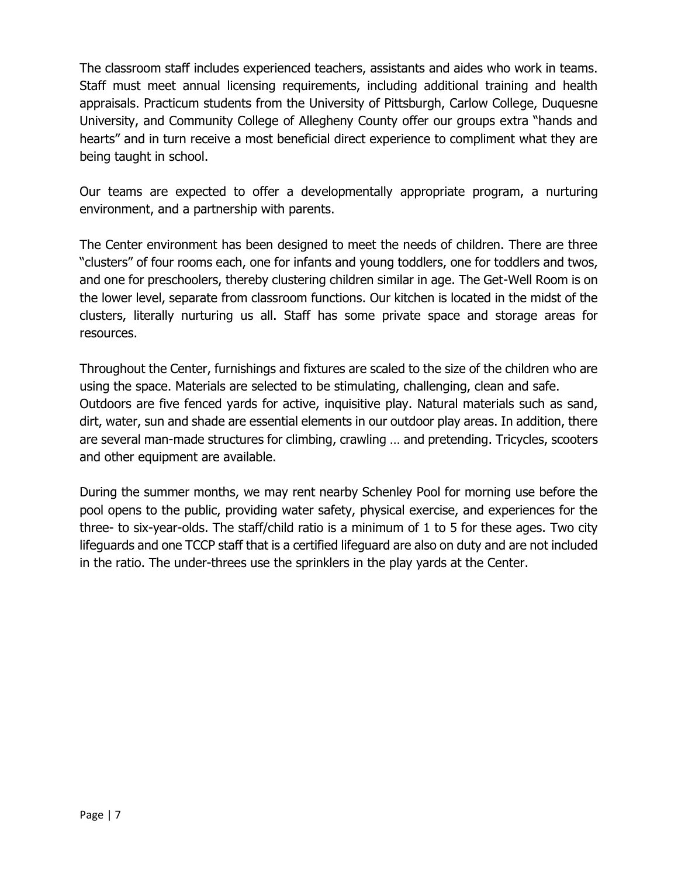The classroom staff includes experienced teachers, assistants and aides who work in teams. Staff must meet annual licensing requirements, including additional training and health appraisals. Practicum students from the University of Pittsburgh, Carlow College, Duquesne University, and Community College of Allegheny County offer our groups extra "hands and hearts" and in turn receive a most beneficial direct experience to compliment what they are being taught in school.

Our teams are expected to offer a developmentally appropriate program, a nurturing environment, and a partnership with parents.

The Center environment has been designed to meet the needs of children. There are three "clusters" of four rooms each, one for infants and young toddlers, one for toddlers and twos, and one for preschoolers, thereby clustering children similar in age. The Get-Well Room is on the lower level, separate from classroom functions. Our kitchen is located in the midst of the clusters, literally nurturing us all. Staff has some private space and storage areas for resources.

Throughout the Center, furnishings and fixtures are scaled to the size of the children who are using the space. Materials are selected to be stimulating, challenging, clean and safe. Outdoors are five fenced yards for active, inquisitive play. Natural materials such as sand, dirt, water, sun and shade are essential elements in our outdoor play areas. In addition, there are several man-made structures for climbing, crawling … and pretending. Tricycles, scooters and other equipment are available.

During the summer months, we may rent nearby Schenley Pool for morning use before the pool opens to the public, providing water safety, physical exercise, and experiences for the three- to six-year-olds. The staff/child ratio is a minimum of 1 to 5 for these ages. Two city lifeguards and one TCCP staff that is a certified lifeguard are also on duty and are not included in the ratio. The under-threes use the sprinklers in the play yards at the Center.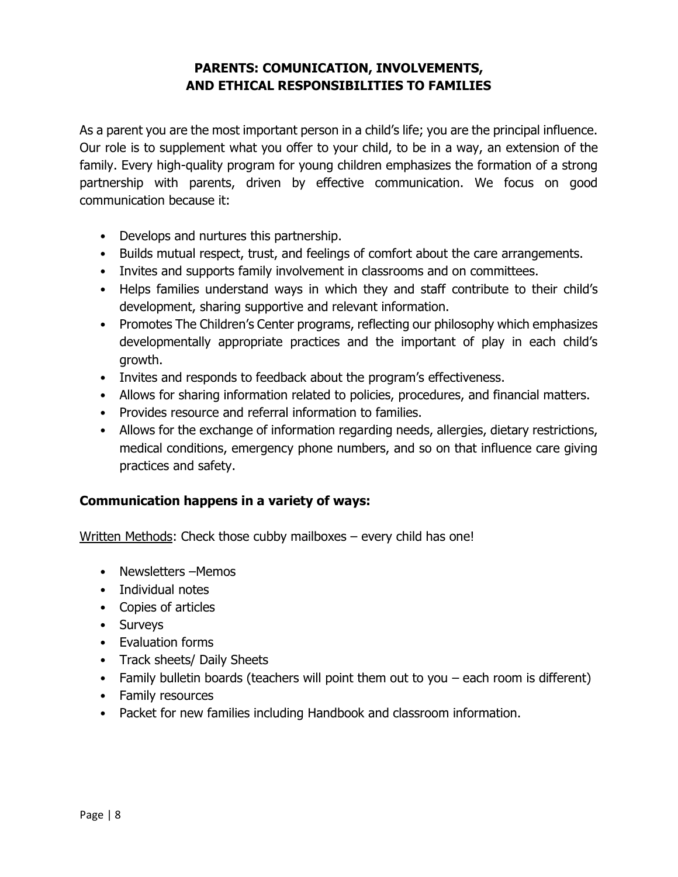# **PARENTS: COMUNICATION, INVOLVEMENTS, AND ETHICAL RESPONSIBILITIES TO FAMILIES**

As a parent you are the most important person in a child's life; you are the principal influence. Our role is to supplement what you offer to your child, to be in a way, an extension of the family. Every high-quality program for young children emphasizes the formation of a strong partnership with parents, driven by effective communication. We focus on good communication because it:

- Develops and nurtures this partnership.
- Builds mutual respect, trust, and feelings of comfort about the care arrangements.
- Invites and supports family involvement in classrooms and on committees.
- Helps families understand ways in which they and staff contribute to their child's development, sharing supportive and relevant information.
- Promotes The Children's Center programs, reflecting our philosophy which emphasizes developmentally appropriate practices and the important of play in each child's growth.
- Invites and responds to feedback about the program's effectiveness.
- Allows for sharing information related to policies, procedures, and financial matters.
- Provides resource and referral information to families.
- Allows for the exchange of information regarding needs, allergies, dietary restrictions, medical conditions, emergency phone numbers, and so on that influence care giving practices and safety.

### **Communication happens in a variety of ways:**

Written Methods: Check those cubby mailboxes – every child has one!

- Newsletters –Memos
- Individual notes
- Copies of articles
- Surveys
- Evaluation forms
- Track sheets/ Daily Sheets
- Family bulletin boards (teachers will point them out to you each room is different)
- Family resources
- Packet for new families including Handbook and classroom information.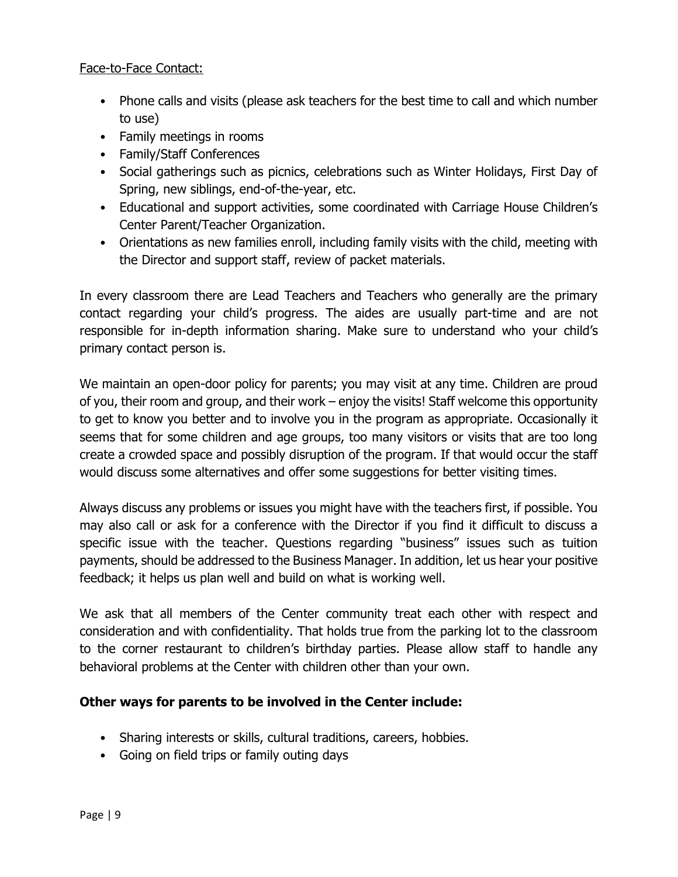### Face-to-Face Contact:

- Phone calls and visits (please ask teachers for the best time to call and which number to use)
- Family meetings in rooms
- Family/Staff Conferences
- Social gatherings such as picnics, celebrations such as Winter Holidays, First Day of Spring, new siblings, end-of-the-year, etc.
- Educational and support activities, some coordinated with Carriage House Children's Center Parent/Teacher Organization.
- Orientations as new families enroll, including family visits with the child, meeting with the Director and support staff, review of packet materials.

In every classroom there are Lead Teachers and Teachers who generally are the primary contact regarding your child's progress. The aides are usually part-time and are not responsible for in-depth information sharing. Make sure to understand who your child's primary contact person is.

We maintain an open-door policy for parents; you may visit at any time. Children are proud of you, their room and group, and their work – enjoy the visits! Staff welcome this opportunity to get to know you better and to involve you in the program as appropriate. Occasionally it seems that for some children and age groups, too many visitors or visits that are too long create a crowded space and possibly disruption of the program. If that would occur the staff would discuss some alternatives and offer some suggestions for better visiting times.

Always discuss any problems or issues you might have with the teachers first, if possible. You may also call or ask for a conference with the Director if you find it difficult to discuss a specific issue with the teacher. Questions regarding "business" issues such as tuition payments, should be addressed to the Business Manager. In addition, let us hear your positive feedback; it helps us plan well and build on what is working well.

We ask that all members of the Center community treat each other with respect and consideration and with confidentiality. That holds true from the parking lot to the classroom to the corner restaurant to children's birthday parties. Please allow staff to handle any behavioral problems at the Center with children other than your own.

# **Other ways for parents to be involved in the Center include:**

- Sharing interests or skills, cultural traditions, careers, hobbies.
- Going on field trips or family outing days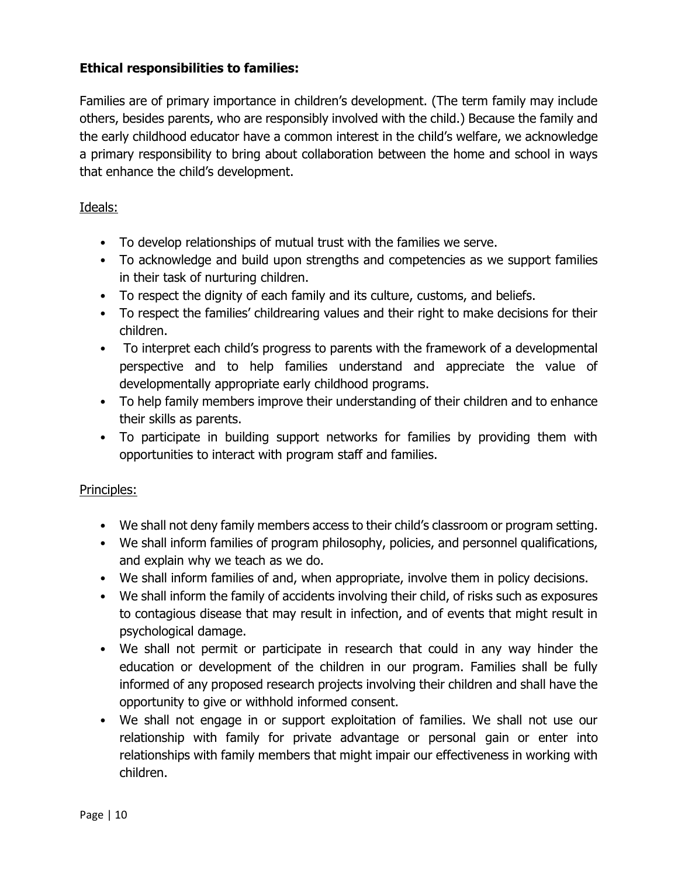# **Ethical responsibilities to families:**

Families are of primary importance in children's development. (The term family may include others, besides parents, who are responsibly involved with the child.) Because the family and the early childhood educator have a common interest in the child's welfare, we acknowledge a primary responsibility to bring about collaboration between the home and school in ways that enhance the child's development.

# Ideals:

- To develop relationships of mutual trust with the families we serve.
- To acknowledge and build upon strengths and competencies as we support families in their task of nurturing children.
- To respect the dignity of each family and its culture, customs, and beliefs.
- To respect the families' childrearing values and their right to make decisions for their children.
- To interpret each child's progress to parents with the framework of a developmental perspective and to help families understand and appreciate the value of developmentally appropriate early childhood programs.
- To help family members improve their understanding of their children and to enhance their skills as parents.
- To participate in building support networks for families by providing them with opportunities to interact with program staff and families.

# Principles:

- We shall not deny family members access to their child's classroom or program setting.
- We shall inform families of program philosophy, policies, and personnel qualifications, and explain why we teach as we do.
- We shall inform families of and, when appropriate, involve them in policy decisions.
- We shall inform the family of accidents involving their child, of risks such as exposures to contagious disease that may result in infection, and of events that might result in psychological damage.
- We shall not permit or participate in research that could in any way hinder the education or development of the children in our program. Families shall be fully informed of any proposed research projects involving their children and shall have the opportunity to give or withhold informed consent.
- We shall not engage in or support exploitation of families. We shall not use our relationship with family for private advantage or personal gain or enter into relationships with family members that might impair our effectiveness in working with children.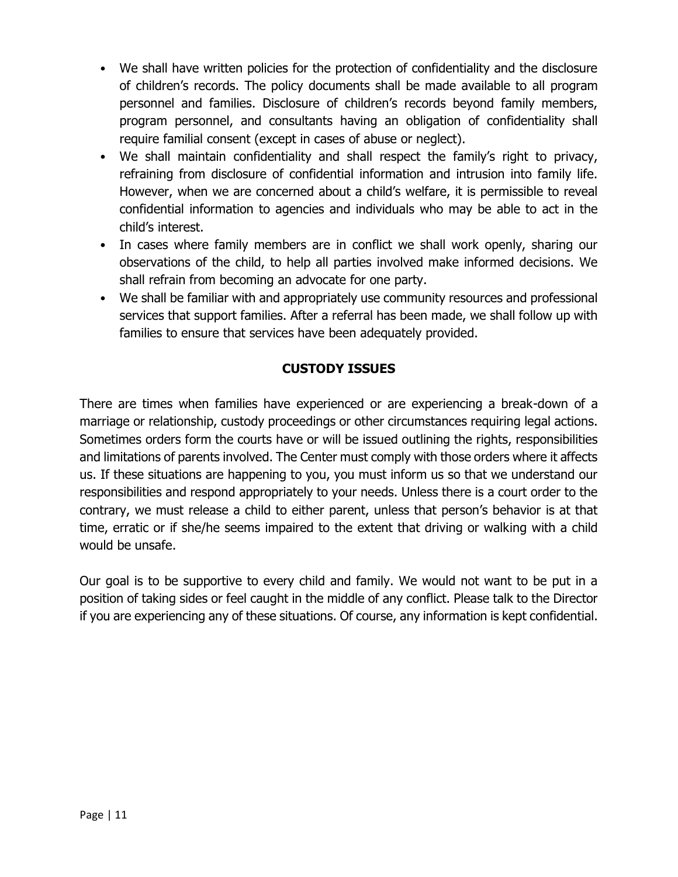- We shall have written policies for the protection of confidentiality and the disclosure of children's records. The policy documents shall be made available to all program personnel and families. Disclosure of children's records beyond family members, program personnel, and consultants having an obligation of confidentiality shall require familial consent (except in cases of abuse or neglect).
- We shall maintain confidentiality and shall respect the family's right to privacy, refraining from disclosure of confidential information and intrusion into family life. However, when we are concerned about a child's welfare, it is permissible to reveal confidential information to agencies and individuals who may be able to act in the child's interest.
- In cases where family members are in conflict we shall work openly, sharing our observations of the child, to help all parties involved make informed decisions. We shall refrain from becoming an advocate for one party.
- We shall be familiar with and appropriately use community resources and professional services that support families. After a referral has been made, we shall follow up with families to ensure that services have been adequately provided.

# **CUSTODY ISSUES**

There are times when families have experienced or are experiencing a break-down of a marriage or relationship, custody proceedings or other circumstances requiring legal actions. Sometimes orders form the courts have or will be issued outlining the rights, responsibilities and limitations of parents involved. The Center must comply with those orders where it affects us. If these situations are happening to you, you must inform us so that we understand our responsibilities and respond appropriately to your needs. Unless there is a court order to the contrary, we must release a child to either parent, unless that person's behavior is at that time, erratic or if she/he seems impaired to the extent that driving or walking with a child would be unsafe.

Our goal is to be supportive to every child and family. We would not want to be put in a position of taking sides or feel caught in the middle of any conflict. Please talk to the Director if you are experiencing any of these situations. Of course, any information is kept confidential.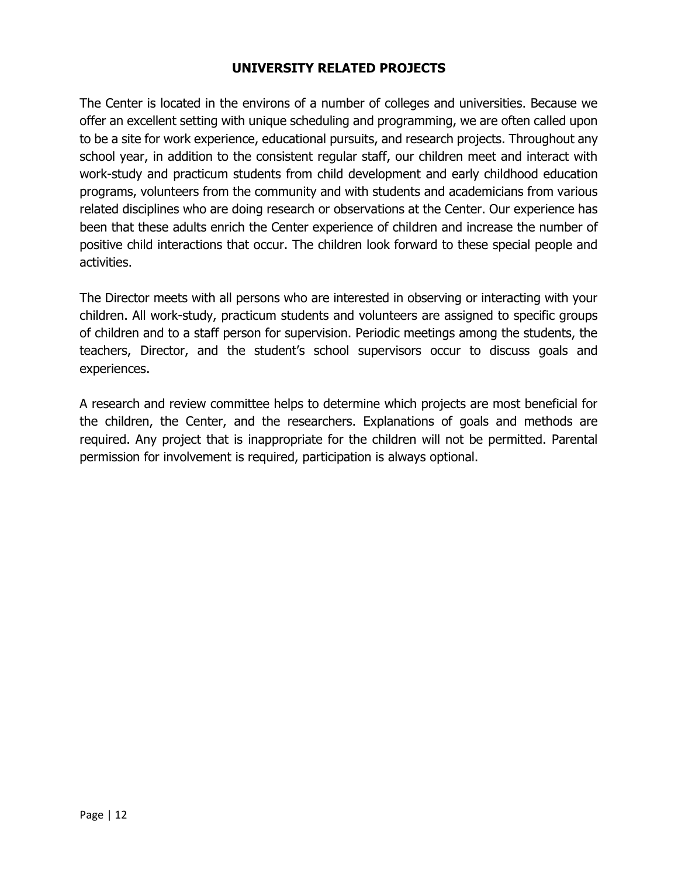## **UNIVERSITY RELATED PROJECTS**

The Center is located in the environs of a number of colleges and universities. Because we offer an excellent setting with unique scheduling and programming, we are often called upon to be a site for work experience, educational pursuits, and research projects. Throughout any school year, in addition to the consistent regular staff, our children meet and interact with work-study and practicum students from child development and early childhood education programs, volunteers from the community and with students and academicians from various related disciplines who are doing research or observations at the Center. Our experience has been that these adults enrich the Center experience of children and increase the number of positive child interactions that occur. The children look forward to these special people and activities.

The Director meets with all persons who are interested in observing or interacting with your children. All work-study, practicum students and volunteers are assigned to specific groups of children and to a staff person for supervision. Periodic meetings among the students, the teachers, Director, and the student's school supervisors occur to discuss goals and experiences.

A research and review committee helps to determine which projects are most beneficial for the children, the Center, and the researchers. Explanations of goals and methods are required. Any project that is inappropriate for the children will not be permitted. Parental permission for involvement is required, participation is always optional.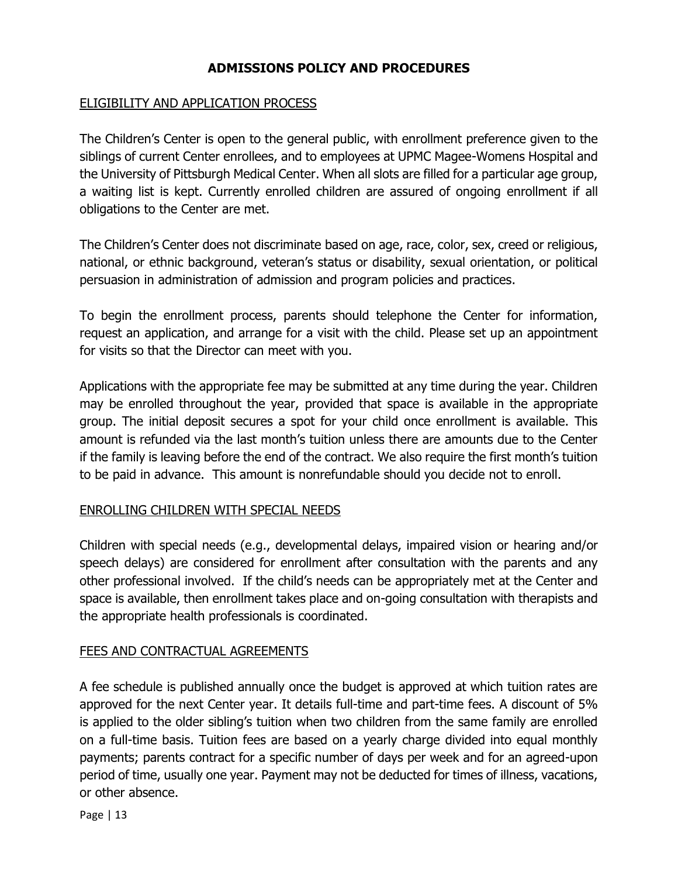# **ADMISSIONS POLICY AND PROCEDURES**

### ELIGIBILITY AND APPLICATION PROCESS

The Children's Center is open to the general public, with enrollment preference given to the siblings of current Center enrollees, and to employees at UPMC Magee-Womens Hospital and the University of Pittsburgh Medical Center. When all slots are filled for a particular age group, a waiting list is kept. Currently enrolled children are assured of ongoing enrollment if all obligations to the Center are met.

The Children's Center does not discriminate based on age, race, color, sex, creed or religious, national, or ethnic background, veteran's status or disability, sexual orientation, or political persuasion in administration of admission and program policies and practices.

To begin the enrollment process, parents should telephone the Center for information, request an application, and arrange for a visit with the child. Please set up an appointment for visits so that the Director can meet with you.

Applications with the appropriate fee may be submitted at any time during the year. Children may be enrolled throughout the year, provided that space is available in the appropriate group. The initial deposit secures a spot for your child once enrollment is available. This amount is refunded via the last month's tuition unless there are amounts due to the Center if the family is leaving before the end of the contract. We also require the first month's tuition to be paid in advance. This amount is nonrefundable should you decide not to enroll.

### ENROLLING CHILDREN WITH SPECIAL NEEDS

Children with special needs (e.g., developmental delays, impaired vision or hearing and/or speech delays) are considered for enrollment after consultation with the parents and any other professional involved. If the child's needs can be appropriately met at the Center and space is available, then enrollment takes place and on-going consultation with therapists and the appropriate health professionals is coordinated.

### FEES AND CONTRACTUAL AGREEMENTS

A fee schedule is published annually once the budget is approved at which tuition rates are approved for the next Center year. It details full-time and part-time fees. A discount of 5% is applied to the older sibling's tuition when two children from the same family are enrolled on a full-time basis. Tuition fees are based on a yearly charge divided into equal monthly payments; parents contract for a specific number of days per week and for an agreed-upon period of time, usually one year. Payment may not be deducted for times of illness, vacations, or other absence.

Page | 13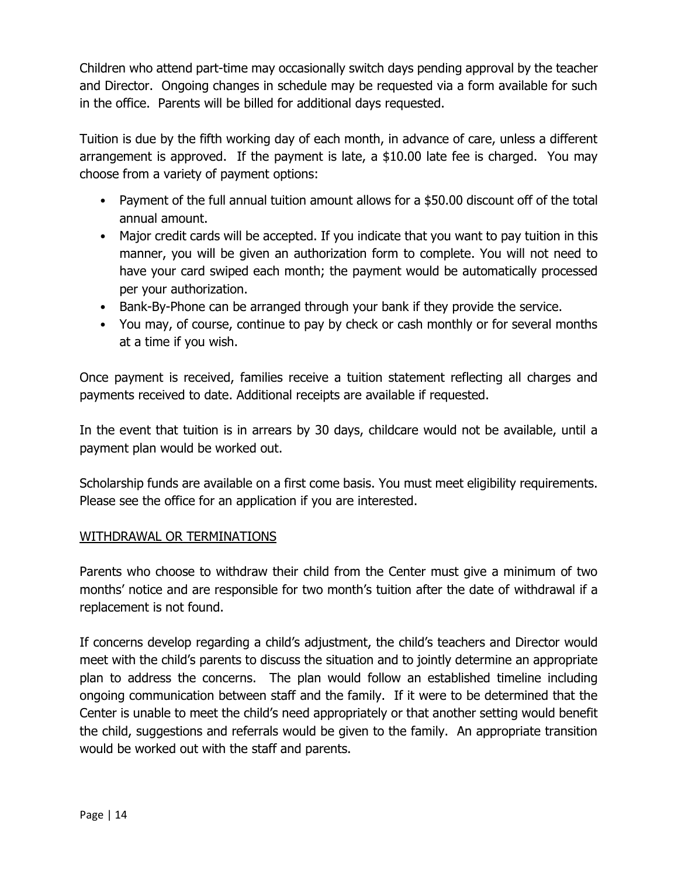Children who attend part-time may occasionally switch days pending approval by the teacher and Director. Ongoing changes in schedule may be requested via a form available for such in the office. Parents will be billed for additional days requested.

Tuition is due by the fifth working day of each month, in advance of care, unless a different arrangement is approved. If the payment is late, a \$10.00 late fee is charged. You may choose from a variety of payment options:

- Payment of the full annual tuition amount allows for a \$50.00 discount off of the total annual amount.
- Major credit cards will be accepted. If you indicate that you want to pay tuition in this manner, you will be given an authorization form to complete. You will not need to have your card swiped each month; the payment would be automatically processed per your authorization.
- Bank-By-Phone can be arranged through your bank if they provide the service.
- You may, of course, continue to pay by check or cash monthly or for several months at a time if you wish.

Once payment is received, families receive a tuition statement reflecting all charges and payments received to date. Additional receipts are available if requested.

In the event that tuition is in arrears by 30 days, childcare would not be available, until a payment plan would be worked out.

Scholarship funds are available on a first come basis. You must meet eligibility requirements. Please see the office for an application if you are interested.

# WITHDRAWAL OR TERMINATIONS

Parents who choose to withdraw their child from the Center must give a minimum of two months' notice and are responsible for two month's tuition after the date of withdrawal if a replacement is not found.

If concerns develop regarding a child's adjustment, the child's teachers and Director would meet with the child's parents to discuss the situation and to jointly determine an appropriate plan to address the concerns. The plan would follow an established timeline including ongoing communication between staff and the family. If it were to be determined that the Center is unable to meet the child's need appropriately or that another setting would benefit the child, suggestions and referrals would be given to the family. An appropriate transition would be worked out with the staff and parents.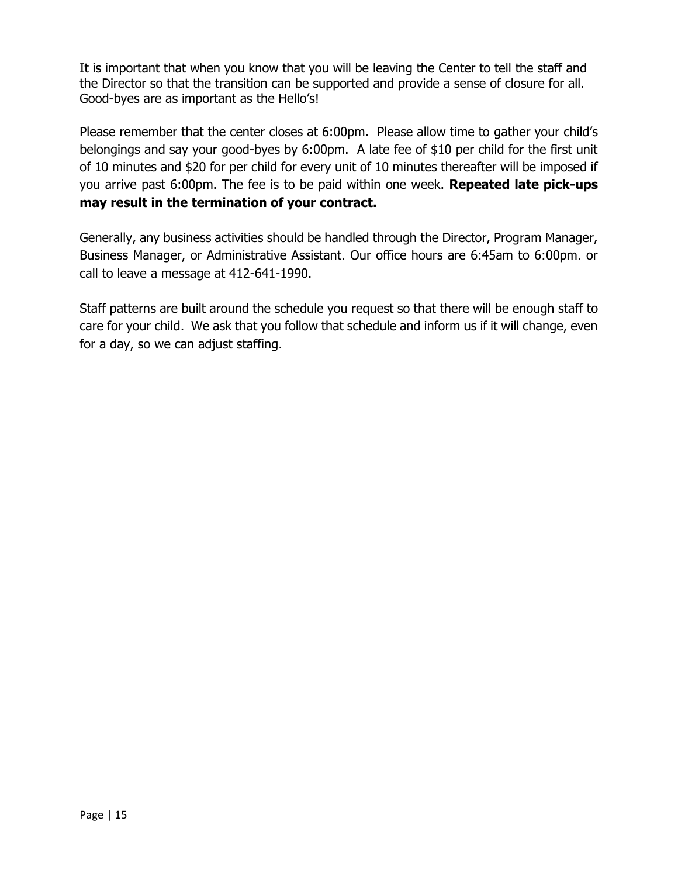It is important that when you know that you will be leaving the Center to tell the staff and the Director so that the transition can be supported and provide a sense of closure for all. Good-byes are as important as the Hello's!

Please remember that the center closes at 6:00pm. Please allow time to gather your child's belongings and say your good-byes by 6:00pm. A late fee of \$10 per child for the first unit of 10 minutes and \$20 for per child for every unit of 10 minutes thereafter will be imposed if you arrive past 6:00pm. The fee is to be paid within one week. **Repeated late pick-ups may result in the termination of your contract.** 

Generally, any business activities should be handled through the Director, Program Manager, Business Manager, or Administrative Assistant. Our office hours are 6:45am to 6:00pm. or call to leave a message at 412-641-1990.

Staff patterns are built around the schedule you request so that there will be enough staff to care for your child. We ask that you follow that schedule and inform us if it will change, even for a day, so we can adjust staffing.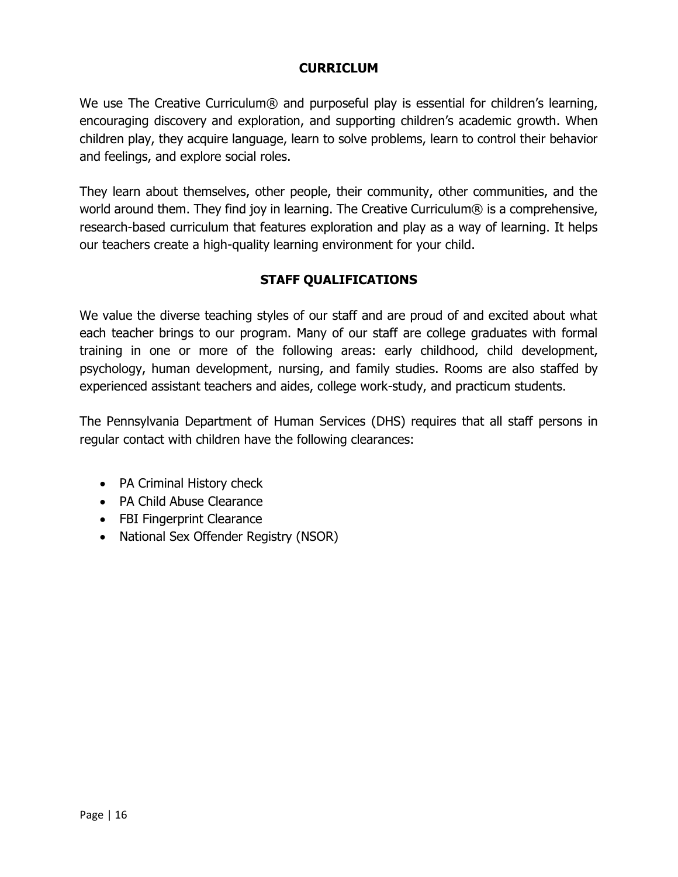### **CURRICLUM**

We use The Creative Curriculum® and purposeful play is essential for children's learning, encouraging discovery and exploration, and supporting children's academic growth. When children play, they acquire language, learn to solve problems, learn to control their behavior and feelings, and explore social roles.

They learn about themselves, other people, their community, other communities, and the world around them. They find joy in learning. The Creative Curriculum® is a comprehensive, research-based curriculum that features exploration and play as a way of learning. It helps our teachers create a high-quality learning environment for your child.

# **STAFF QUALIFICATIONS**

We value the diverse teaching styles of our staff and are proud of and excited about what each teacher brings to our program. Many of our staff are college graduates with formal training in one or more of the following areas: early childhood, child development, psychology, human development, nursing, and family studies. Rooms are also staffed by experienced assistant teachers and aides, college work-study, and practicum students.

The Pennsylvania Department of Human Services (DHS) requires that all staff persons in regular contact with children have the following clearances:

- PA Criminal History check
- PA Child Abuse Clearance
- FBI Fingerprint Clearance
- National Sex Offender Registry (NSOR)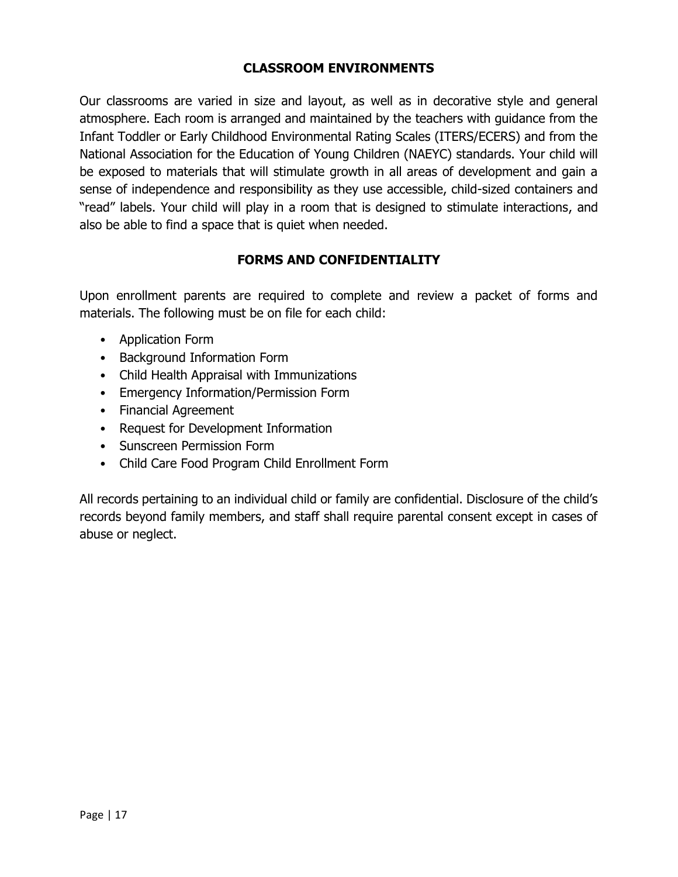# **CLASSROOM ENVIRONMENTS**

Our classrooms are varied in size and layout, as well as in decorative style and general atmosphere. Each room is arranged and maintained by the teachers with guidance from the Infant Toddler or Early Childhood Environmental Rating Scales (ITERS/ECERS) and from the National Association for the Education of Young Children (NAEYC) standards. Your child will be exposed to materials that will stimulate growth in all areas of development and gain a sense of independence and responsibility as they use accessible, child-sized containers and "read" labels. Your child will play in a room that is designed to stimulate interactions, and also be able to find a space that is quiet when needed.

### **FORMS AND CONFIDENTIALITY**

Upon enrollment parents are required to complete and review a packet of forms and materials. The following must be on file for each child:

- Application Form
- Background Information Form
- Child Health Appraisal with Immunizations
- Emergency Information/Permission Form
- Financial Agreement
- Request for Development Information
- Sunscreen Permission Form
- Child Care Food Program Child Enrollment Form

All records pertaining to an individual child or family are confidential. Disclosure of the child's records beyond family members, and staff shall require parental consent except in cases of abuse or neglect.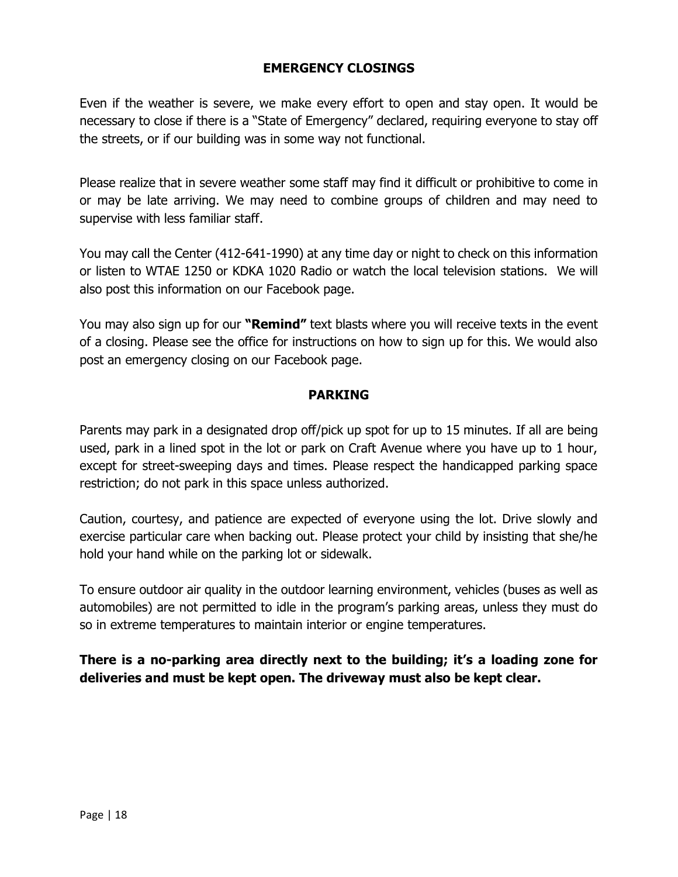## **EMERGENCY CLOSINGS**

Even if the weather is severe, we make every effort to open and stay open. It would be necessary to close if there is a "State of Emergency" declared, requiring everyone to stay off the streets, or if our building was in some way not functional.

Please realize that in severe weather some staff may find it difficult or prohibitive to come in or may be late arriving. We may need to combine groups of children and may need to supervise with less familiar staff.

You may call the Center (412-641-1990) at any time day or night to check on this information or listen to WTAE 1250 or KDKA 1020 Radio or watch the local television stations. We will also post this information on our Facebook page.

You may also sign up for our **"Remind"** text blasts where you will receive texts in the event of a closing. Please see the office for instructions on how to sign up for this. We would also post an emergency closing on our Facebook page.

### **PARKING**

Parents may park in a designated drop off/pick up spot for up to 15 minutes. If all are being used, park in a lined spot in the lot or park on Craft Avenue where you have up to 1 hour, except for street-sweeping days and times. Please respect the handicapped parking space restriction; do not park in this space unless authorized.

Caution, courtesy, and patience are expected of everyone using the lot. Drive slowly and exercise particular care when backing out. Please protect your child by insisting that she/he hold your hand while on the parking lot or sidewalk.

To ensure outdoor air quality in the outdoor learning environment, vehicles (buses as well as automobiles) are not permitted to idle in the program's parking areas, unless they must do so in extreme temperatures to maintain interior or engine temperatures.

**There is a no-parking area directly next to the building; it's a loading zone for deliveries and must be kept open. The driveway must also be kept clear.**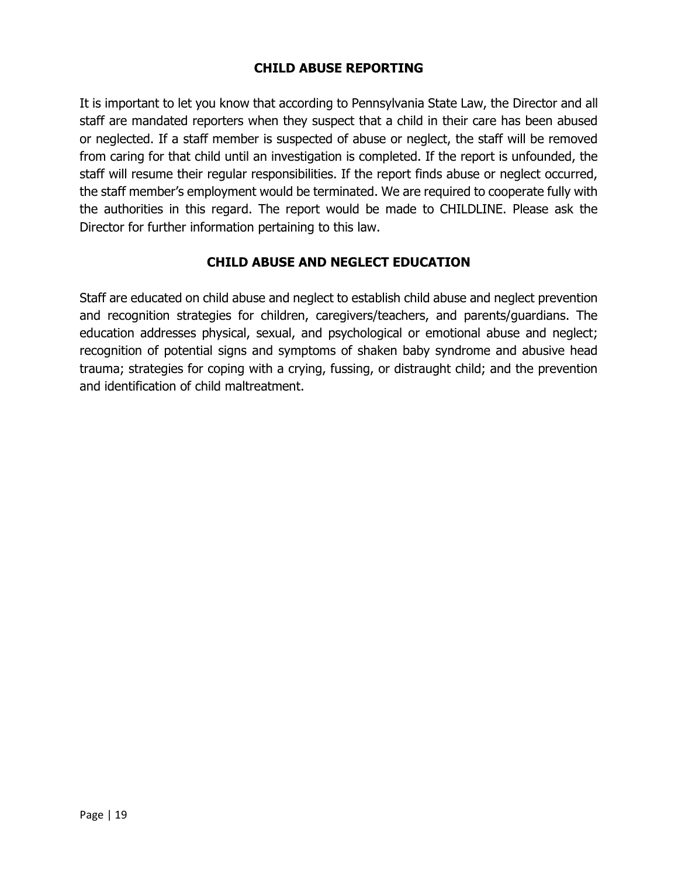# **CHILD ABUSE REPORTING**

It is important to let you know that according to Pennsylvania State Law, the Director and all staff are mandated reporters when they suspect that a child in their care has been abused or neglected. If a staff member is suspected of abuse or neglect, the staff will be removed from caring for that child until an investigation is completed. If the report is unfounded, the staff will resume their regular responsibilities. If the report finds abuse or neglect occurred, the staff member's employment would be terminated. We are required to cooperate fully with the authorities in this regard. The report would be made to CHILDLINE. Please ask the Director for further information pertaining to this law.

# **CHILD ABUSE AND NEGLECT EDUCATION**

Staff are educated on child abuse and neglect to establish child abuse and neglect prevention and recognition strategies for children, caregivers/teachers, and parents/guardians. The education addresses physical, sexual, and psychological or emotional abuse and neglect; recognition of potential signs and symptoms of shaken baby syndrome and abusive head trauma; strategies for coping with a crying, fussing, or distraught child; and the prevention and identification of child maltreatment.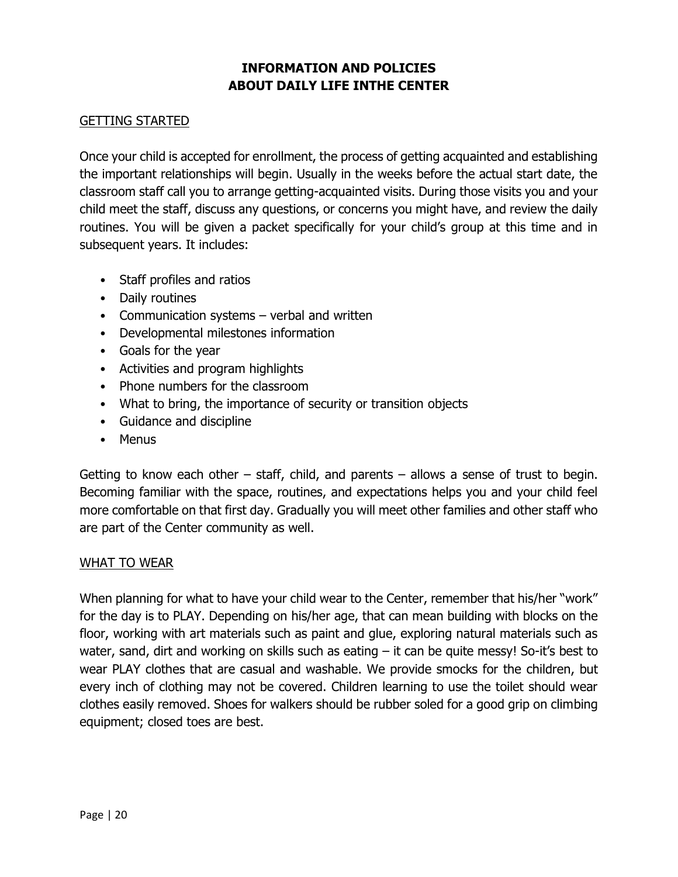# **INFORMATION AND POLICIES ABOUT DAILY LIFE INTHE CENTER**

### GETTING STARTED

Once your child is accepted for enrollment, the process of getting acquainted and establishing the important relationships will begin. Usually in the weeks before the actual start date, the classroom staff call you to arrange getting-acquainted visits. During those visits you and your child meet the staff, discuss any questions, or concerns you might have, and review the daily routines. You will be given a packet specifically for your child's group at this time and in subsequent years. It includes:

- Staff profiles and ratios
- Daily routines
- Communication systems verbal and written
- Developmental milestones information
- Goals for the year
- Activities and program highlights
- Phone numbers for the classroom
- What to bring, the importance of security or transition objects
- Guidance and discipline
- Menus

Getting to know each other  $-$  staff, child, and parents  $-$  allows a sense of trust to begin. Becoming familiar with the space, routines, and expectations helps you and your child feel more comfortable on that first day. Gradually you will meet other families and other staff who are part of the Center community as well.

#### WHAT TO WEAR

When planning for what to have your child wear to the Center, remember that his/her "work" for the day is to PLAY. Depending on his/her age, that can mean building with blocks on the floor, working with art materials such as paint and glue, exploring natural materials such as water, sand, dirt and working on skills such as eating – it can be quite messy! So-it's best to wear PLAY clothes that are casual and washable. We provide smocks for the children, but every inch of clothing may not be covered. Children learning to use the toilet should wear clothes easily removed. Shoes for walkers should be rubber soled for a good grip on climbing equipment; closed toes are best.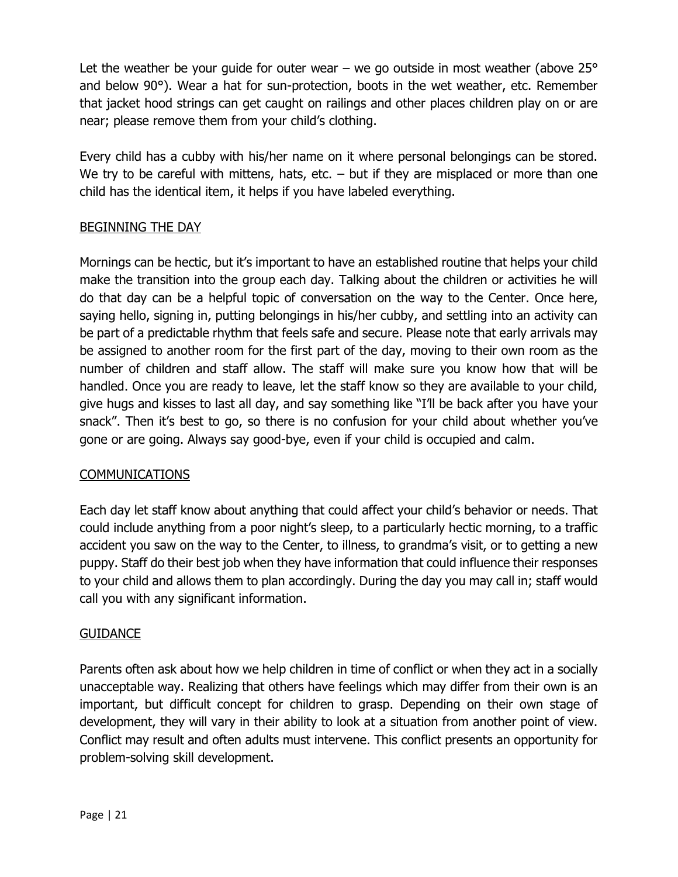Let the weather be your quide for outer wear – we go outside in most weather (above  $25^{\circ}$ ) and below 90°). Wear a hat for sun-protection, boots in the wet weather, etc. Remember that jacket hood strings can get caught on railings and other places children play on or are near; please remove them from your child's clothing.

Every child has a cubby with his/her name on it where personal belongings can be stored. We try to be careful with mittens, hats, etc.  $-$  but if they are misplaced or more than one child has the identical item, it helps if you have labeled everything.

# BEGINNING THE DAY

Mornings can be hectic, but it's important to have an established routine that helps your child make the transition into the group each day. Talking about the children or activities he will do that day can be a helpful topic of conversation on the way to the Center. Once here, saying hello, signing in, putting belongings in his/her cubby, and settling into an activity can be part of a predictable rhythm that feels safe and secure. Please note that early arrivals may be assigned to another room for the first part of the day, moving to their own room as the number of children and staff allow. The staff will make sure you know how that will be handled. Once you are ready to leave, let the staff know so they are available to your child, give hugs and kisses to last all day, and say something like "I'll be back after you have your snack". Then it's best to go, so there is no confusion for your child about whether you've gone or are going. Always say good-bye, even if your child is occupied and calm.

# **COMMUNICATIONS**

Each day let staff know about anything that could affect your child's behavior or needs. That could include anything from a poor night's sleep, to a particularly hectic morning, to a traffic accident you saw on the way to the Center, to illness, to grandma's visit, or to getting a new puppy. Staff do their best job when they have information that could influence their responses to your child and allows them to plan accordingly. During the day you may call in; staff would call you with any significant information.

# **GUIDANCE**

Parents often ask about how we help children in time of conflict or when they act in a socially unacceptable way. Realizing that others have feelings which may differ from their own is an important, but difficult concept for children to grasp. Depending on their own stage of development, they will vary in their ability to look at a situation from another point of view. Conflict may result and often adults must intervene. This conflict presents an opportunity for problem-solving skill development.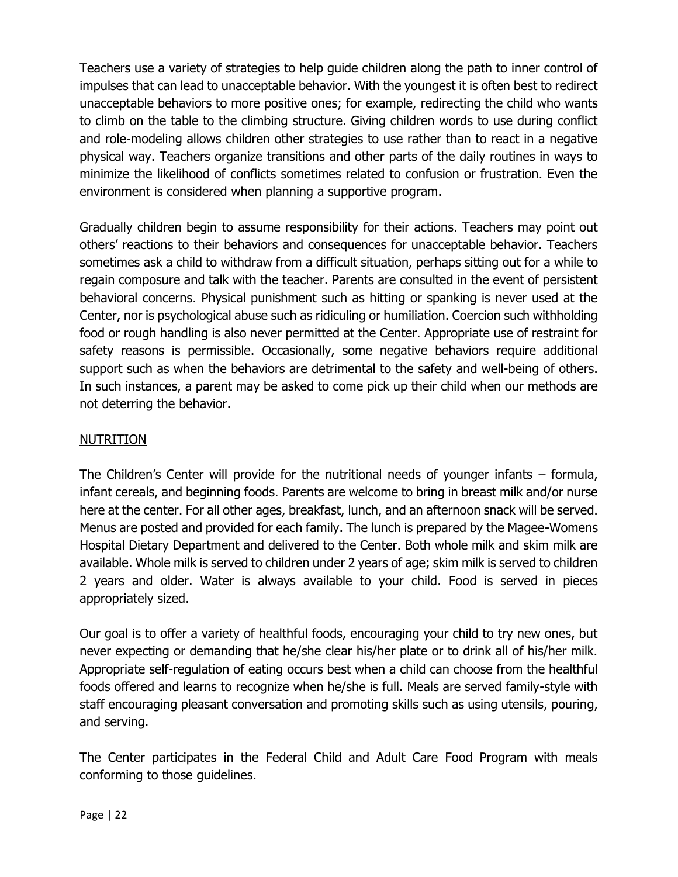Teachers use a variety of strategies to help guide children along the path to inner control of impulses that can lead to unacceptable behavior. With the youngest it is often best to redirect unacceptable behaviors to more positive ones; for example, redirecting the child who wants to climb on the table to the climbing structure. Giving children words to use during conflict and role-modeling allows children other strategies to use rather than to react in a negative physical way. Teachers organize transitions and other parts of the daily routines in ways to minimize the likelihood of conflicts sometimes related to confusion or frustration. Even the environment is considered when planning a supportive program.

Gradually children begin to assume responsibility for their actions. Teachers may point out others' reactions to their behaviors and consequences for unacceptable behavior. Teachers sometimes ask a child to withdraw from a difficult situation, perhaps sitting out for a while to regain composure and talk with the teacher. Parents are consulted in the event of persistent behavioral concerns. Physical punishment such as hitting or spanking is never used at the Center, nor is psychological abuse such as ridiculing or humiliation. Coercion such withholding food or rough handling is also never permitted at the Center. Appropriate use of restraint for safety reasons is permissible. Occasionally, some negative behaviors require additional support such as when the behaviors are detrimental to the safety and well-being of others. In such instances, a parent may be asked to come pick up their child when our methods are not deterring the behavior.

# NUTRITION

The Children's Center will provide for the nutritional needs of younger infants – formula, infant cereals, and beginning foods. Parents are welcome to bring in breast milk and/or nurse here at the center. For all other ages, breakfast, lunch, and an afternoon snack will be served. Menus are posted and provided for each family. The lunch is prepared by the Magee-Womens Hospital Dietary Department and delivered to the Center. Both whole milk and skim milk are available. Whole milk is served to children under 2 years of age; skim milk is served to children 2 years and older. Water is always available to your child. Food is served in pieces appropriately sized.

Our goal is to offer a variety of healthful foods, encouraging your child to try new ones, but never expecting or demanding that he/she clear his/her plate or to drink all of his/her milk. Appropriate self-regulation of eating occurs best when a child can choose from the healthful foods offered and learns to recognize when he/she is full. Meals are served family-style with staff encouraging pleasant conversation and promoting skills such as using utensils, pouring, and serving.

The Center participates in the Federal Child and Adult Care Food Program with meals conforming to those guidelines.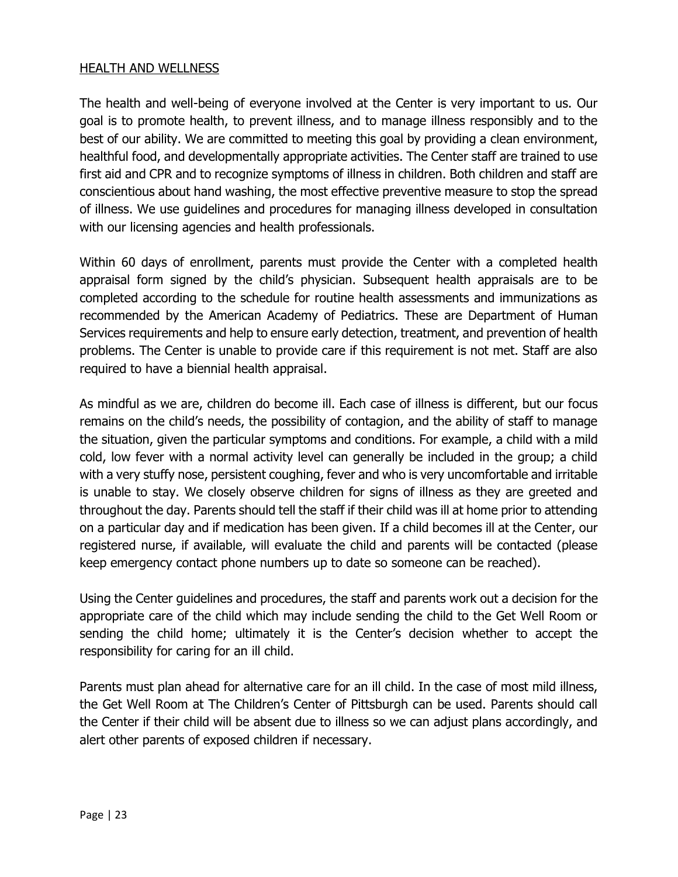### HEALTH AND WELLNESS

The health and well-being of everyone involved at the Center is very important to us. Our goal is to promote health, to prevent illness, and to manage illness responsibly and to the best of our ability. We are committed to meeting this goal by providing a clean environment, healthful food, and developmentally appropriate activities. The Center staff are trained to use first aid and CPR and to recognize symptoms of illness in children. Both children and staff are conscientious about hand washing, the most effective preventive measure to stop the spread of illness. We use guidelines and procedures for managing illness developed in consultation with our licensing agencies and health professionals.

Within 60 days of enrollment, parents must provide the Center with a completed health appraisal form signed by the child's physician. Subsequent health appraisals are to be completed according to the schedule for routine health assessments and immunizations as recommended by the American Academy of Pediatrics. These are Department of Human Services requirements and help to ensure early detection, treatment, and prevention of health problems. The Center is unable to provide care if this requirement is not met. Staff are also required to have a biennial health appraisal.

As mindful as we are, children do become ill. Each case of illness is different, but our focus remains on the child's needs, the possibility of contagion, and the ability of staff to manage the situation, given the particular symptoms and conditions. For example, a child with a mild cold, low fever with a normal activity level can generally be included in the group; a child with a very stuffy nose, persistent coughing, fever and who is very uncomfortable and irritable is unable to stay. We closely observe children for signs of illness as they are greeted and throughout the day. Parents should tell the staff if their child was ill at home prior to attending on a particular day and if medication has been given. If a child becomes ill at the Center, our registered nurse, if available, will evaluate the child and parents will be contacted (please keep emergency contact phone numbers up to date so someone can be reached).

Using the Center guidelines and procedures, the staff and parents work out a decision for the appropriate care of the child which may include sending the child to the Get Well Room or sending the child home; ultimately it is the Center's decision whether to accept the responsibility for caring for an ill child.

Parents must plan ahead for alternative care for an ill child. In the case of most mild illness, the Get Well Room at The Children's Center of Pittsburgh can be used. Parents should call the Center if their child will be absent due to illness so we can adjust plans accordingly, and alert other parents of exposed children if necessary.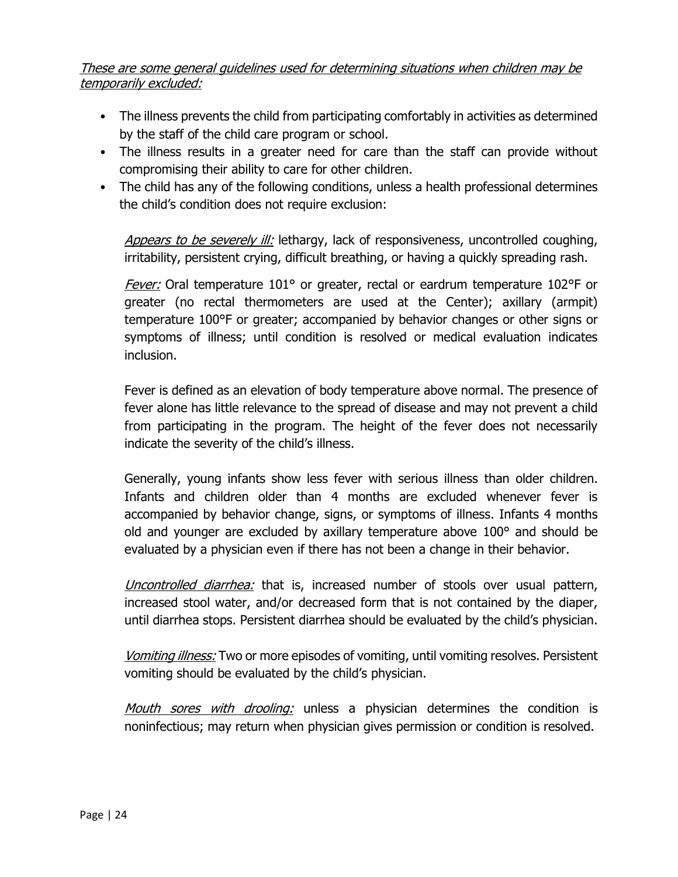# These are some general guidelines used for determining situations when children may be temporarily excluded:

- The illness prevents the child from participating comfortably in activities as determined by the staff of the child care program or school.
- The illness results in a greater need for care than the staff can provide without compromising their ability to care for other children.
- The child has any of the following conditions, unless a health professional determines the child's condition does not require exclusion:

Appears to be severely ill: lethargy, lack of responsiveness, uncontrolled coughing, irritability, persistent crying, difficult breathing, or having a quickly spreading rash.

*Fever:* Oral temperature 101° or greater, rectal or eardrum temperature 102°F or greater (no rectal thermometers are used at the Center); axillary (armpit) temperature 100°F or greater; accompanied by behavior changes or other signs or symptoms of illness; until condition is resolved or medical evaluation indicates inclusion.

Fever is defined as an elevation of body temperature above normal. The presence of fever alone has little relevance to the spread of disease and may not prevent a child from participating in the program. The height of the fever does not necessarily indicate the severity of the child's illness.

Generally, young infants show less fever with serious illness than older children. Infants and children older than 4 months are excluded whenever fever is accompanied by behavior change, signs, or symptoms of illness. Infants 4 months old and younger are excluded by axillary temperature above 100° and should be evaluated by a physician even if there has not been a change in their behavior.

Uncontrolled diarrhea: that is, increased number of stools over usual pattern, increased stool water, and/or decreased form that is not contained by the diaper, until diarrhea stops. Persistent diarrhea should be evaluated by the child's physician.

Vomiting illness: Two or more episodes of vomiting, until vomiting resolves. Persistent vomiting should be evaluated by the child's physician.

Mouth sores with drooling: unless a physician determines the condition is noninfectious; may return when physician gives permission or condition is resolved.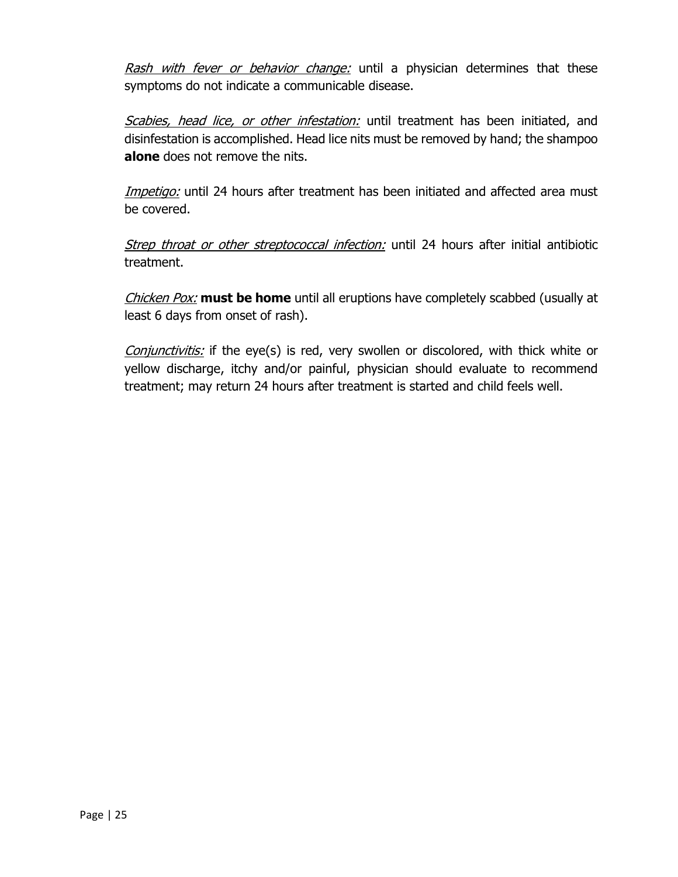Rash with fever or behavior change: until a physician determines that these symptoms do not indicate a communicable disease.

Scabies, head lice, or other infestation: until treatment has been initiated, and disinfestation is accomplished. Head lice nits must be removed by hand; the shampoo **alone** does not remove the nits.

Impetigo: until 24 hours after treatment has been initiated and affected area must be covered.

Strep throat or other streptococcal infection: until 24 hours after initial antibiotic treatment.

Chicken Pox: **must be home** until all eruptions have completely scabbed (usually at least 6 days from onset of rash).

Conjunctivitis: if the eye(s) is red, very swollen or discolored, with thick white or yellow discharge, itchy and/or painful, physician should evaluate to recommend treatment; may return 24 hours after treatment is started and child feels well.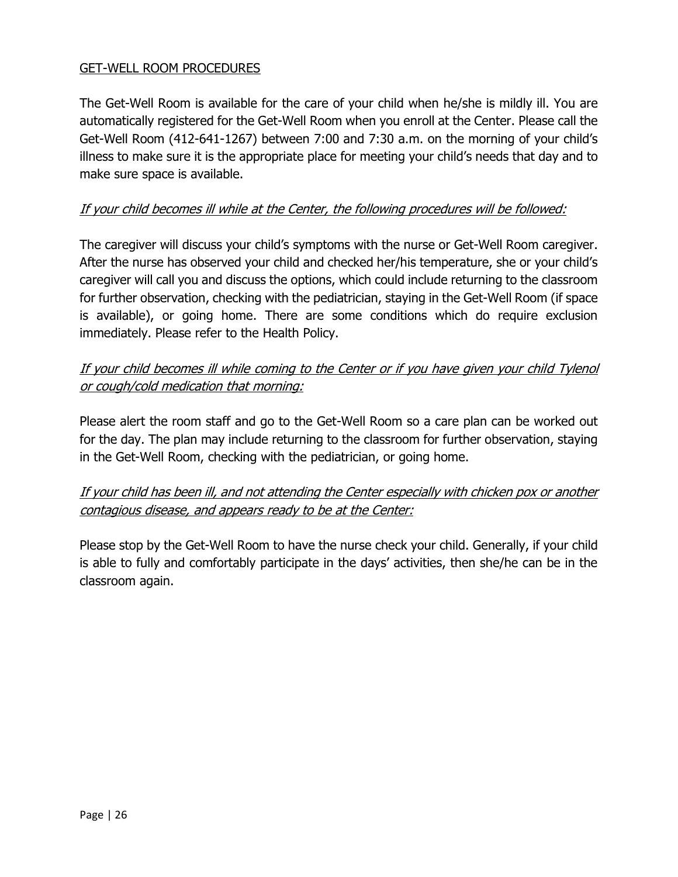## GET-WELL ROOM PROCEDURES

The Get-Well Room is available for the care of your child when he/she is mildly ill. You are automatically registered for the Get-Well Room when you enroll at the Center. Please call the Get-Well Room (412-641-1267) between 7:00 and 7:30 a.m. on the morning of your child's illness to make sure it is the appropriate place for meeting your child's needs that day and to make sure space is available.

### If your child becomes ill while at the Center, the following procedures will be followed:

The caregiver will discuss your child's symptoms with the nurse or Get-Well Room caregiver. After the nurse has observed your child and checked her/his temperature, she or your child's caregiver will call you and discuss the options, which could include returning to the classroom for further observation, checking with the pediatrician, staying in the Get-Well Room (if space is available), or going home. There are some conditions which do require exclusion immediately. Please refer to the Health Policy.

# If your child becomes ill while coming to the Center or if you have given your child Tylenol or cough/cold medication that morning:

Please alert the room staff and go to the Get-Well Room so a care plan can be worked out for the day. The plan may include returning to the classroom for further observation, staying in the Get-Well Room, checking with the pediatrician, or going home.

# If your child has been ill, and not attending the Center especially with chicken pox or another contagious disease, and appears ready to be at the Center:

Please stop by the Get-Well Room to have the nurse check your child. Generally, if your child is able to fully and comfortably participate in the days' activities, then she/he can be in the classroom again.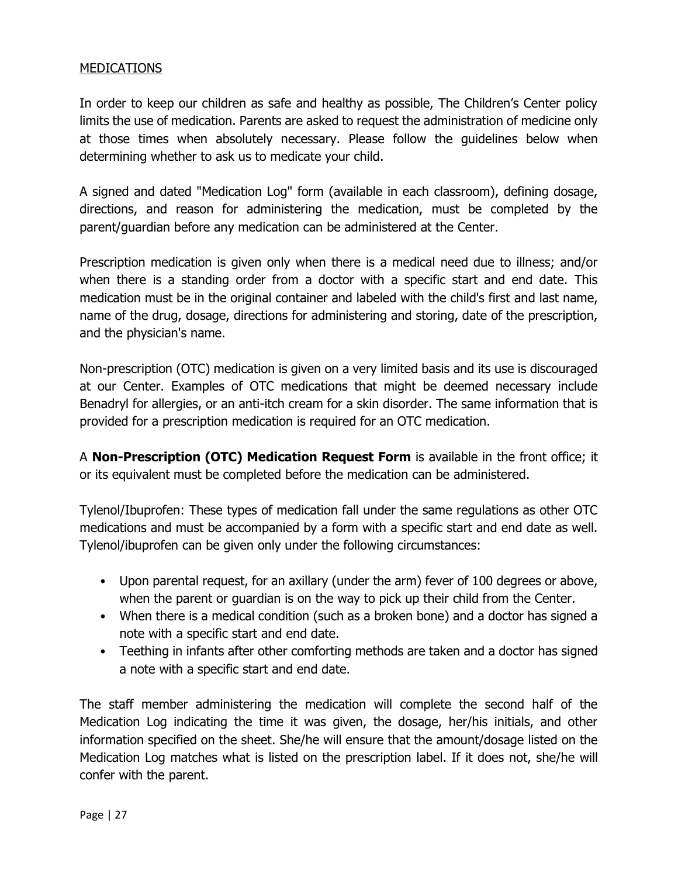### **MEDICATIONS**

In order to keep our children as safe and healthy as possible, The Children's Center policy limits the use of medication. Parents are asked to request the administration of medicine only at those times when absolutely necessary. Please follow the guidelines below when determining whether to ask us to medicate your child.

A signed and dated "Medication Log" form (available in each classroom), defining dosage, directions, and reason for administering the medication, must be completed by the parent/guardian before any medication can be administered at the Center.

Prescription medication is given only when there is a medical need due to illness; and/or when there is a standing order from a doctor with a specific start and end date. This medication must be in the original container and labeled with the child's first and last name, name of the drug, dosage, directions for administering and storing, date of the prescription, and the physician's name.

Non-prescription (OTC) medication is given on a very limited basis and its use is discouraged at our Center. Examples of OTC medications that might be deemed necessary include Benadryl for allergies, or an anti-itch cream for a skin disorder. The same information that is provided for a prescription medication is required for an OTC medication.

A **Non-Prescription (OTC) Medication Request Form** is available in the front office; it or its equivalent must be completed before the medication can be administered.

Tylenol/Ibuprofen: These types of medication fall under the same regulations as other OTC medications and must be accompanied by a form with a specific start and end date as well. Tylenol/ibuprofen can be given only under the following circumstances:

- Upon parental request, for an axillary (under the arm) fever of 100 degrees or above, when the parent or guardian is on the way to pick up their child from the Center.
- When there is a medical condition (such as a broken bone) and a doctor has signed a note with a specific start and end date.
- Teething in infants after other comforting methods are taken and a doctor has signed a note with a specific start and end date.

The staff member administering the medication will complete the second half of the Medication Log indicating the time it was given, the dosage, her/his initials, and other information specified on the sheet. She/he will ensure that the amount/dosage listed on the Medication Log matches what is listed on the prescription label. If it does not, she/he will confer with the parent.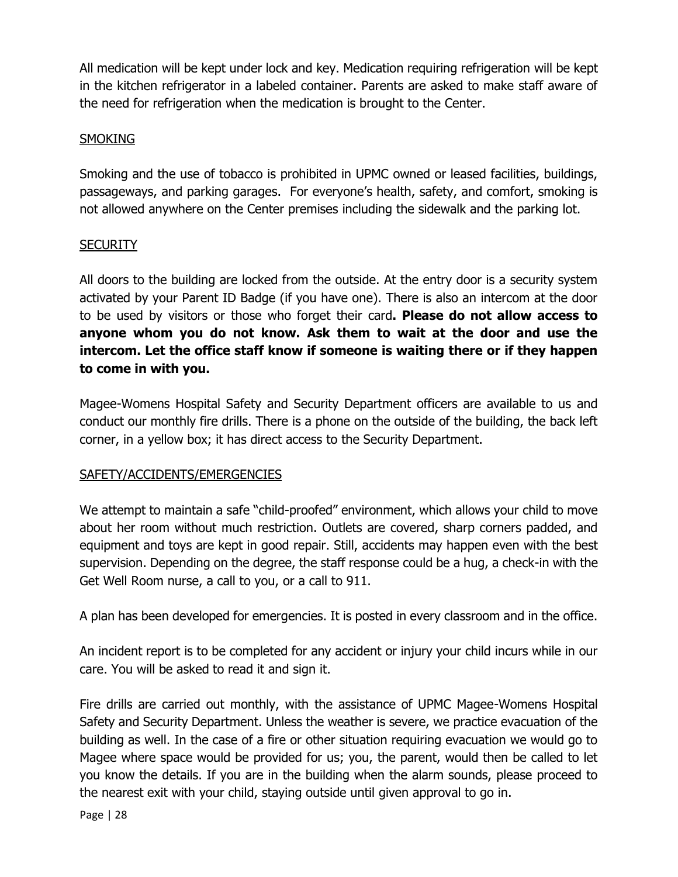All medication will be kept under lock and key. Medication requiring refrigeration will be kept in the kitchen refrigerator in a labeled container. Parents are asked to make staff aware of the need for refrigeration when the medication is brought to the Center.

## SMOKING

Smoking and the use of tobacco is prohibited in UPMC owned or leased facilities, buildings, passageways, and parking garages. For everyone's health, safety, and comfort, smoking is not allowed anywhere on the Center premises including the sidewalk and the parking lot.

### **SECURITY**

All doors to the building are locked from the outside. At the entry door is a security system activated by your Parent ID Badge (if you have one). There is also an intercom at the door to be used by visitors or those who forget their card**. Please do not allow access to anyone whom you do not know. Ask them to wait at the door and use the intercom. Let the office staff know if someone is waiting there or if they happen to come in with you.**

Magee-Womens Hospital Safety and Security Department officers are available to us and conduct our monthly fire drills. There is a phone on the outside of the building, the back left corner, in a yellow box; it has direct access to the Security Department.

# SAFETY/ACCIDENTS/EMERGENCIES

We attempt to maintain a safe "child-proofed" environment, which allows your child to move about her room without much restriction. Outlets are covered, sharp corners padded, and equipment and toys are kept in good repair. Still, accidents may happen even with the best supervision. Depending on the degree, the staff response could be a hug, a check-in with the Get Well Room nurse, a call to you, or a call to 911.

A plan has been developed for emergencies. It is posted in every classroom and in the office.

An incident report is to be completed for any accident or injury your child incurs while in our care. You will be asked to read it and sign it.

Fire drills are carried out monthly, with the assistance of UPMC Magee-Womens Hospital Safety and Security Department. Unless the weather is severe, we practice evacuation of the building as well. In the case of a fire or other situation requiring evacuation we would go to Magee where space would be provided for us; you, the parent, would then be called to let you know the details. If you are in the building when the alarm sounds, please proceed to the nearest exit with your child, staying outside until given approval to go in.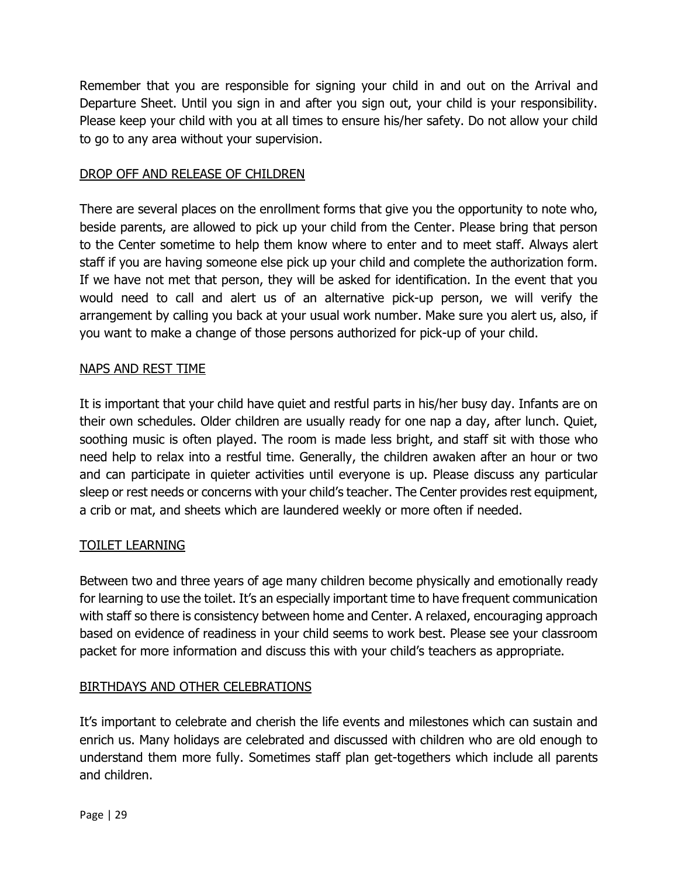Remember that you are responsible for signing your child in and out on the Arrival and Departure Sheet. Until you sign in and after you sign out, your child is your responsibility. Please keep your child with you at all times to ensure his/her safety. Do not allow your child to go to any area without your supervision.

# DROP OFF AND RELEASE OF CHILDREN

There are several places on the enrollment forms that give you the opportunity to note who, beside parents, are allowed to pick up your child from the Center. Please bring that person to the Center sometime to help them know where to enter and to meet staff. Always alert staff if you are having someone else pick up your child and complete the authorization form. If we have not met that person, they will be asked for identification. In the event that you would need to call and alert us of an alternative pick-up person, we will verify the arrangement by calling you back at your usual work number. Make sure you alert us, also, if you want to make a change of those persons authorized for pick-up of your child.

### NAPS AND REST TIME

It is important that your child have quiet and restful parts in his/her busy day. Infants are on their own schedules. Older children are usually ready for one nap a day, after lunch. Quiet, soothing music is often played. The room is made less bright, and staff sit with those who need help to relax into a restful time. Generally, the children awaken after an hour or two and can participate in quieter activities until everyone is up. Please discuss any particular sleep or rest needs or concerns with your child's teacher. The Center provides rest equipment, a crib or mat, and sheets which are laundered weekly or more often if needed.

# TOILET LEARNING

Between two and three years of age many children become physically and emotionally ready for learning to use the toilet. It's an especially important time to have frequent communication with staff so there is consistency between home and Center. A relaxed, encouraging approach based on evidence of readiness in your child seems to work best. Please see your classroom packet for more information and discuss this with your child's teachers as appropriate.

### BIRTHDAYS AND OTHER CELEBRATIONS

It's important to celebrate and cherish the life events and milestones which can sustain and enrich us. Many holidays are celebrated and discussed with children who are old enough to understand them more fully. Sometimes staff plan get-togethers which include all parents and children.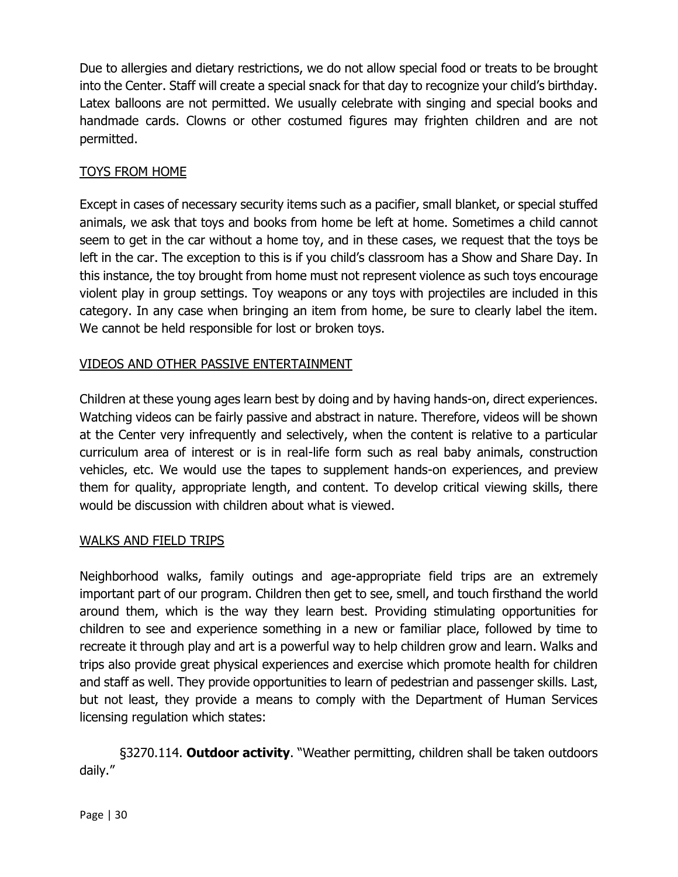Due to allergies and dietary restrictions, we do not allow special food or treats to be brought into the Center. Staff will create a special snack for that day to recognize your child's birthday. Latex balloons are not permitted. We usually celebrate with singing and special books and handmade cards. Clowns or other costumed figures may frighten children and are not permitted.

# TOYS FROM HOME

Except in cases of necessary security items such as a pacifier, small blanket, or special stuffed animals, we ask that toys and books from home be left at home. Sometimes a child cannot seem to get in the car without a home toy, and in these cases, we request that the toys be left in the car. The exception to this is if you child's classroom has a Show and Share Day. In this instance, the toy brought from home must not represent violence as such toys encourage violent play in group settings. Toy weapons or any toys with projectiles are included in this category. In any case when bringing an item from home, be sure to clearly label the item. We cannot be held responsible for lost or broken toys.

# VIDEOS AND OTHER PASSIVE ENTERTAINMENT

Children at these young ages learn best by doing and by having hands-on, direct experiences. Watching videos can be fairly passive and abstract in nature. Therefore, videos will be shown at the Center very infrequently and selectively, when the content is relative to a particular curriculum area of interest or is in real-life form such as real baby animals, construction vehicles, etc. We would use the tapes to supplement hands-on experiences, and preview them for quality, appropriate length, and content. To develop critical viewing skills, there would be discussion with children about what is viewed.

# WALKS AND FIELD TRIPS

Neighborhood walks, family outings and age-appropriate field trips are an extremely important part of our program. Children then get to see, smell, and touch firsthand the world around them, which is the way they learn best. Providing stimulating opportunities for children to see and experience something in a new or familiar place, followed by time to recreate it through play and art is a powerful way to help children grow and learn. Walks and trips also provide great physical experiences and exercise which promote health for children and staff as well. They provide opportunities to learn of pedestrian and passenger skills. Last, but not least, they provide a means to comply with the Department of Human Services licensing regulation which states:

§3270.114. **Outdoor activity**. "Weather permitting, children shall be taken outdoors daily."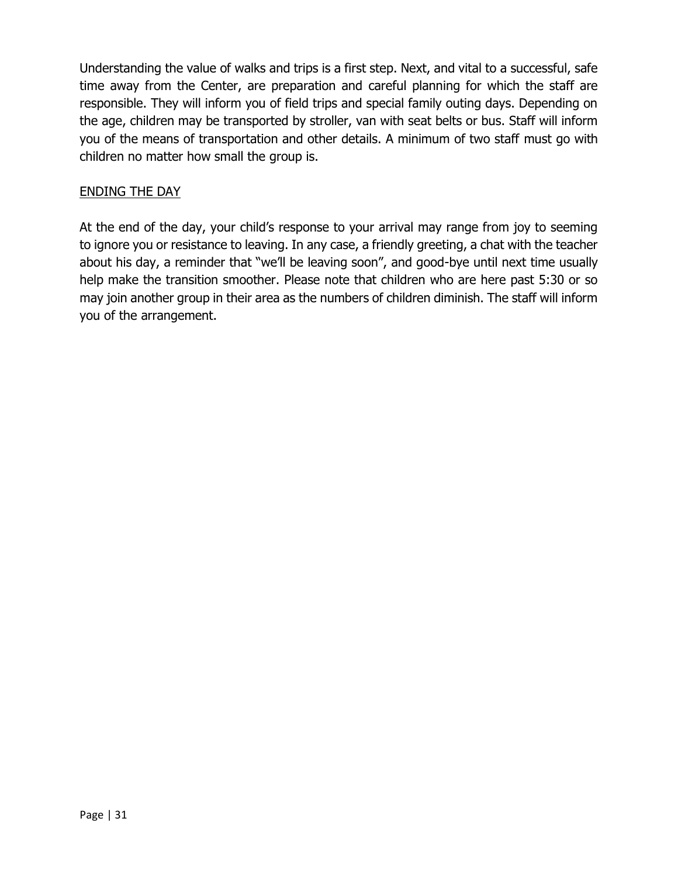Understanding the value of walks and trips is a first step. Next, and vital to a successful, safe time away from the Center, are preparation and careful planning for which the staff are responsible. They will inform you of field trips and special family outing days. Depending on the age, children may be transported by stroller, van with seat belts or bus. Staff will inform you of the means of transportation and other details. A minimum of two staff must go with children no matter how small the group is.

# ENDING THE DAY

At the end of the day, your child's response to your arrival may range from joy to seeming to ignore you or resistance to leaving. In any case, a friendly greeting, a chat with the teacher about his day, a reminder that "we'll be leaving soon", and good-bye until next time usually help make the transition smoother. Please note that children who are here past 5:30 or so may join another group in their area as the numbers of children diminish. The staff will inform you of the arrangement.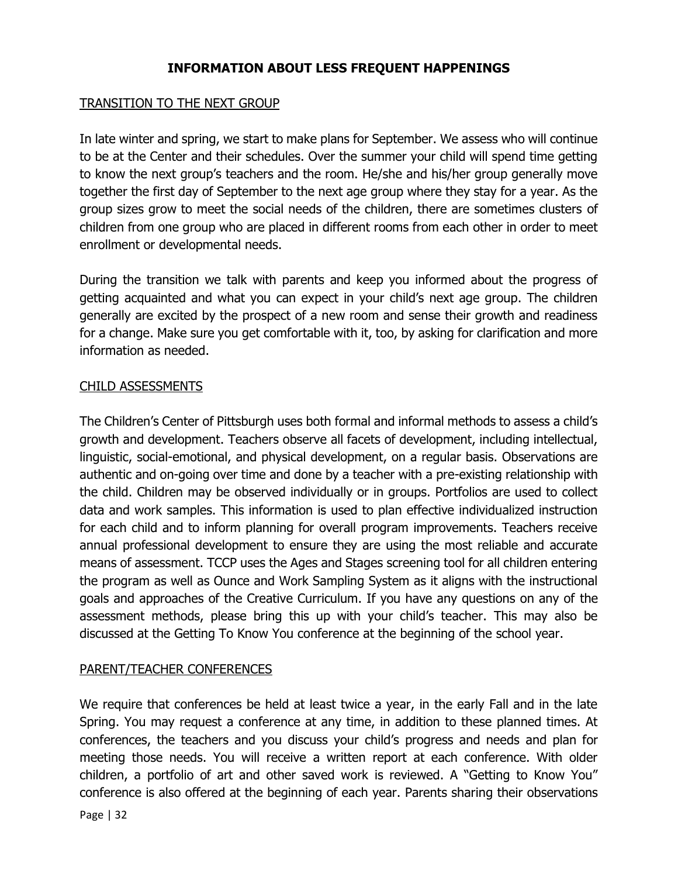# **INFORMATION ABOUT LESS FREQUENT HAPPENINGS**

## TRANSITION TO THE NEXT GROUP

In late winter and spring, we start to make plans for September. We assess who will continue to be at the Center and their schedules. Over the summer your child will spend time getting to know the next group's teachers and the room. He/she and his/her group generally move together the first day of September to the next age group where they stay for a year. As the group sizes grow to meet the social needs of the children, there are sometimes clusters of children from one group who are placed in different rooms from each other in order to meet enrollment or developmental needs.

During the transition we talk with parents and keep you informed about the progress of getting acquainted and what you can expect in your child's next age group. The children generally are excited by the prospect of a new room and sense their growth and readiness for a change. Make sure you get comfortable with it, too, by asking for clarification and more information as needed.

### CHILD ASSESSMENTS

The Children's Center of Pittsburgh uses both formal and informal methods to assess a child's growth and development. Teachers observe all facets of development, including intellectual, linguistic, social-emotional, and physical development, on a regular basis. Observations are authentic and on-going over time and done by a teacher with a pre-existing relationship with the child. Children may be observed individually or in groups. Portfolios are used to collect data and work samples. This information is used to plan effective individualized instruction for each child and to inform planning for overall program improvements. Teachers receive annual professional development to ensure they are using the most reliable and accurate means of assessment. TCCP uses the Ages and Stages screening tool for all children entering the program as well as Ounce and Work Sampling System as it aligns with the instructional goals and approaches of the Creative Curriculum. If you have any questions on any of the assessment methods, please bring this up with your child's teacher. This may also be discussed at the Getting To Know You conference at the beginning of the school year.

# PARENT/TEACHER CONFERENCES

We require that conferences be held at least twice a year, in the early Fall and in the late Spring. You may request a conference at any time, in addition to these planned times. At conferences, the teachers and you discuss your child's progress and needs and plan for meeting those needs. You will receive a written report at each conference. With older children, a portfolio of art and other saved work is reviewed. A "Getting to Know You" conference is also offered at the beginning of each year. Parents sharing their observations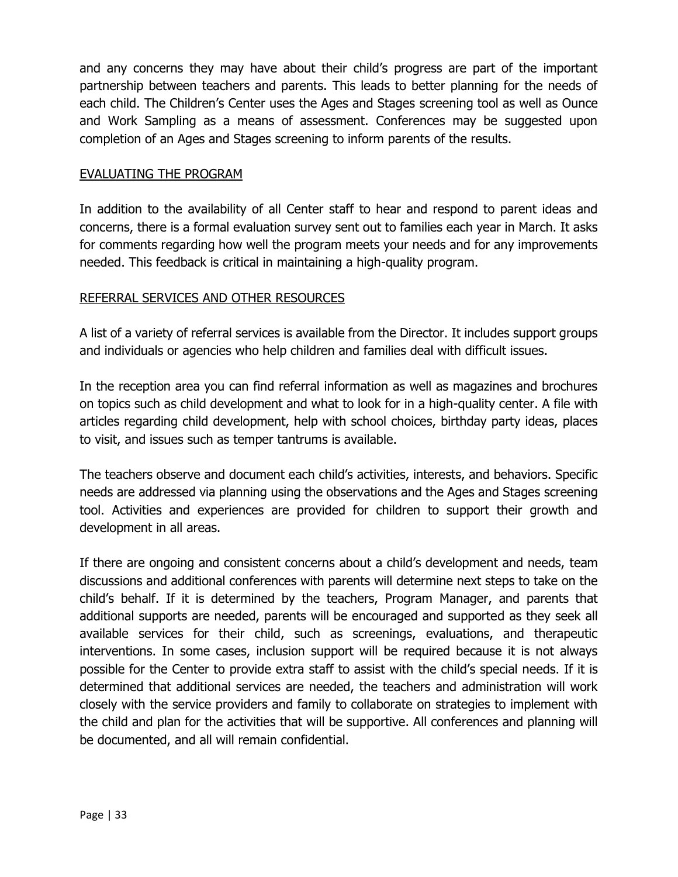and any concerns they may have about their child's progress are part of the important partnership between teachers and parents. This leads to better planning for the needs of each child. The Children's Center uses the Ages and Stages screening tool as well as Ounce and Work Sampling as a means of assessment. Conferences may be suggested upon completion of an Ages and Stages screening to inform parents of the results.

## EVALUATING THE PROGRAM

In addition to the availability of all Center staff to hear and respond to parent ideas and concerns, there is a formal evaluation survey sent out to families each year in March. It asks for comments regarding how well the program meets your needs and for any improvements needed. This feedback is critical in maintaining a high-quality program.

### REFERRAL SERVICES AND OTHER RESOURCES

A list of a variety of referral services is available from the Director. It includes support groups and individuals or agencies who help children and families deal with difficult issues.

In the reception area you can find referral information as well as magazines and brochures on topics such as child development and what to look for in a high-quality center. A file with articles regarding child development, help with school choices, birthday party ideas, places to visit, and issues such as temper tantrums is available.

The teachers observe and document each child's activities, interests, and behaviors. Specific needs are addressed via planning using the observations and the Ages and Stages screening tool. Activities and experiences are provided for children to support their growth and development in all areas.

If there are ongoing and consistent concerns about a child's development and needs, team discussions and additional conferences with parents will determine next steps to take on the child's behalf. If it is determined by the teachers, Program Manager, and parents that additional supports are needed, parents will be encouraged and supported as they seek all available services for their child, such as screenings, evaluations, and therapeutic interventions. In some cases, inclusion support will be required because it is not always possible for the Center to provide extra staff to assist with the child's special needs. If it is determined that additional services are needed, the teachers and administration will work closely with the service providers and family to collaborate on strategies to implement with the child and plan for the activities that will be supportive. All conferences and planning will be documented, and all will remain confidential.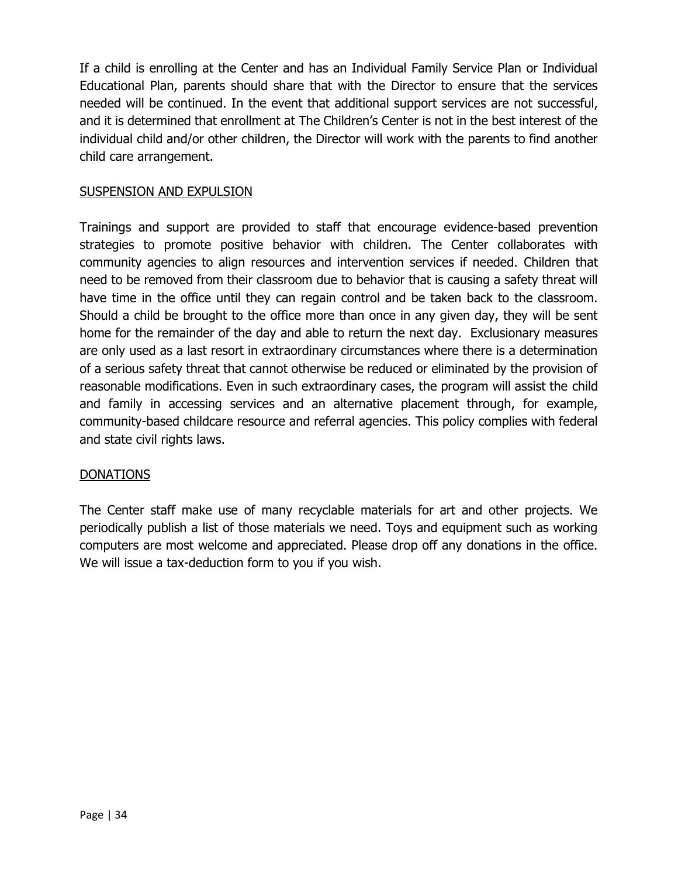If a child is enrolling at the Center and has an Individual Family Service Plan or Individual Educational Plan, parents should share that with the Director to ensure that the services needed will be continued. In the event that additional support services are not successful, and it is determined that enrollment at The Children's Center is not in the best interest of the individual child and/or other children, the Director will work with the parents to find another child care arrangement.

## SUSPENSION AND EXPULSION

Trainings and support are provided to staff that encourage evidence-based prevention strategies to promote positive behavior with children. The Center collaborates with community agencies to align resources and intervention services if needed. Children that need to be removed from their classroom due to behavior that is causing a safety threat will have time in the office until they can regain control and be taken back to the classroom. Should a child be brought to the office more than once in any given day, they will be sent home for the remainder of the day and able to return the next day. Exclusionary measures are only used as a last resort in extraordinary circumstances where there is a determination of a serious safety threat that cannot otherwise be reduced or eliminated by the provision of reasonable modifications. Even in such extraordinary cases, the program will assist the child and family in accessing services and an alternative placement through, for example, community-based childcare resource and referral agencies. This policy complies with federal and state civil rights laws.

### **DONATIONS**

The Center staff make use of many recyclable materials for art and other projects. We periodically publish a list of those materials we need. Toys and equipment such as working computers are most welcome and appreciated. Please drop off any donations in the office. We will issue a tax-deduction form to you if you wish.